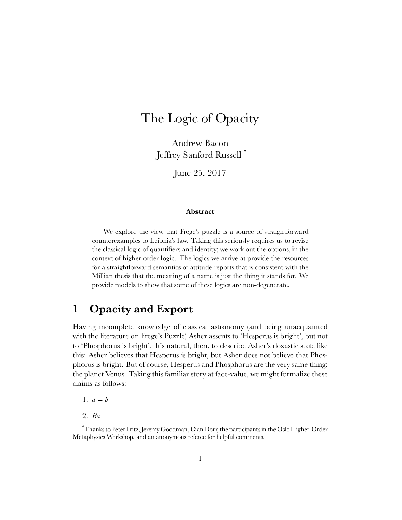# The Logic of Opacity

Andrew Bacon Jeffrey Sanford Russell \*

June 25, 2017

#### **Abstract**

We explore the view that Frege's puzzle is a source of straightforward counterexamples to Leibniz's law. Taking this seriously requires us to revise the classical logic of quantifiers and identity; we work out the options, in the context of higher-order logic. The logics we arrive at provide the resources for a straightforward semantics of attitude reports that is consistent with the Millian thesis that the meaning of a name is just the thing it stands for. We provide models to show that some of these logics are non-degenerate.

# <span id="page-0-0"></span>**1 Opacity and Export**

Having incomplete knowledge of classical astronomy (and being unacquainted with the literature on Frege's Puzzle) Asher assents to 'Hesperus is bright', but not to 'Phosphorus is bright'. It's natural, then, to describe Asher's doxastic state like this: Asher believes that Hesperus is bright, but Asher does not believe that Phosphorus is bright. But of course, Hesperus and Phosphorus are the very same thing: the planet Venus. Taking this familiar story at face-value, we might formalize these claims as follows:

1.  $a = b$ 

2. *Ba*

<sup>\*</sup>Thanks to Peter Fritz, Jeremy Goodman, Cian Dorr, the participants in the Oslo Higher-Order Metaphysics Workshop, and an anonymous referee for helpful comments.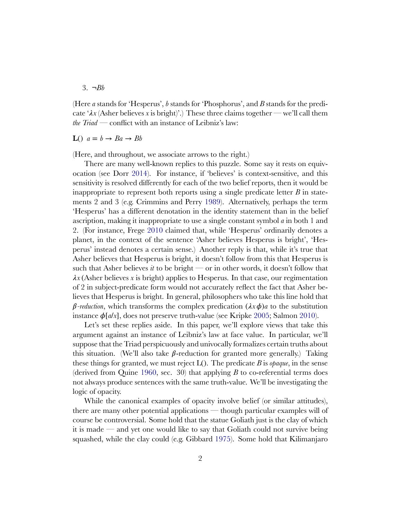3. ¬*Bb*

(Here *a* stands for 'Hesperus', *b* stands for 'Phosphorus', and *B* stands for the predicate ' $\lambda x$  (Asher believes x is bright)'.) These three claims together — we'll call them *the Triad* — conflict with an instance of Leibniz's law:

**L**()  $a = b \rightarrow Ba \rightarrow Bb$ 

(Here, and throughout, we associate arrows to the right.)

There are many well-known replies to this puzzle. Some say it rests on equivocation (see Dorr [2014](#page-41-0)). For instance, if 'believes' is context-sensitive, and this sensitivity is resolved differently for each of the two belief reports, then it would be inappropriate to represent both reports using a single predicate letter *B* in statements 2 and 3 (e.g. Crimmins and Perry [1989\)](#page-41-1). Alternatively, perhaps the term 'Hesperus' has a different denotation in the identity statement than in the belief ascription, making it inappropriate to use a single constant symbol *a* in both 1 and 2. (For instance, Frege [2010](#page-41-2) claimed that, while 'Hesperus' ordinarily denotes a planet, in the context of the sentence 'Asher believes Hesperus is bright', 'Hesperus' instead denotes a certain sense.) Another reply is that, while it's true that Asher believes that Hesperus is bright, it doesn't follow from this that Hesperus is such that Asher believes *it* to be bright — or in other words, it doesn't follow that  $\lambda x$  (Asher believes x is bright) applies to Hesperus. In that case, our regimentation of 2 in subject-predicate form would not accurately reflect the fact that Asher believes that Hesperus is bright. In general, philosophers who take this line hold that  $\beta$ -reduction, which transforms the complex predication  $(\lambda x \phi)$  to the substitution instance  $\phi[a/x]$ , does not preserve truth-value (see Kripke [2005](#page-41-3); Salmon [2010](#page-42-0)).

Let's set these replies aside. In this paper, we'll explore views that take this argument against an instance of Leibniz's law at face value. In particular, we'll suppose that the Triad perspicuously and univocally formalizes certain truths about this situation. (We'll also take  $\beta$ -reduction for granted more generally.) Taking these things for granted, we must reject L(). The predicate *B* is *opaque*, in the sense (derived from Quine [1960](#page-42-1), sec. 30) that applying *B* to co-referential terms does not always produce sentences with the same truth-value. We'll be investigating the logic of opacity.

While the canonical examples of opacity involve belief (or similar attitudes), there are many other potential applications — though particular examples will of course be controversial. Some hold that the statue Goliath just is the clay of which it is made — and yet one would like to say that Goliath could not survive being squashed, while the clay could (e.g. Gibbard [1975](#page-41-4)). Some hold that Kilimanjaro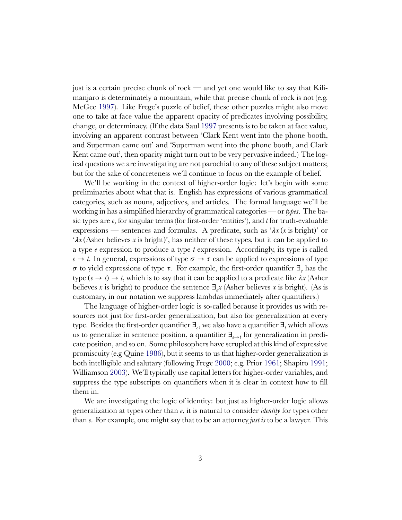just is a certain precise chunk of rock — and yet one would like to say that Kilimanjaro is determinately a mountain, while that precise chunk of rock is not (e.g. McGee [1997](#page-41-5)). Like Frege's puzzle of belief, these other puzzles might also move one to take at face value the apparent opacity of predicates involving possibility, change, or determinacy. (If the data Saul [1997](#page-42-2) presents is to be taken at face value, involving an apparent contrast between 'Clark Kent went into the phone booth, and Superman came out' and 'Superman went into the phone booth, and Clark Kent came out', then opacity might turn out to be very pervasive indeed.) The logical questions we are investigating are not parochial to any of these subject matters; but for the sake of concreteness we'll continue to focus on the example of belief.

We'll be working in the context of higher-order logic: let's begin with some preliminaries about what that is. English has expressions of various grammatical categories, such as nouns, adjectives, and articles. The formal language we'll be working in has a simplified hierarchy of grammatical categories — or *types*. The basic types are *e*, for singular terms (for first-order 'entities'), and *t* for truth-evaluable expressions — sentences and formulas. A predicate, such as  $\lambda x$  (*x* is bright)' or ' $\lambda x$  (Asher believes x is bright)', has neither of these types, but it can be applied to a type *e* expression to produce a type *t* expression. Accordingly, its type is called  $e \rightarrow t$ . In general, expressions of type  $\sigma \rightarrow \tau$  can be applied to expressions of type  $\sigma$  to yield expressions of type  $\tau$ . For example, the first-order quantifer  $\exists$ <sub>*r*</sub> has the type  $(e \rightarrow t) \rightarrow t$ , which is to say that it can be applied to a predicate like  $\lambda x$  (Asher believes *x* is bright) to produce the sentence  $\exists_{e} x$  (Asher believes *x* is bright). (As is customary, in our notation we suppress lambdas immediately after quantifiers.)

The language of higher-order logic is so-called because it provides us with resources not just for first-order generalization, but also for generalization at every type. Besides the first-order quantifier ∃*<sup>e</sup>* , we also have a quantifier ∃*<sup>t</sup>* which allows us to generalize in sentence position, a quantifier ∃*e*→*<sup>t</sup>* for generalization in predicate position, and so on. Some philosophers have scrupled at this kind of expressive promiscuity (e.g Quine [1986\)](#page-42-3), but it seems to us that higher-order generalization is both intelligible and salutary (following Frege [2000](#page-41-6); e.g. Prior [1961](#page-42-4); Shapiro [1991](#page-42-5); Williamson [2003](#page-42-6)). We'll typically use capital letters for higher-order variables, and suppress the type subscripts on quantifiers when it is clear in context how to fill them in.

We are investigating the logic of identity: but just as higher-order logic allows generalization at types other than *e*, it is natural to consider *identity* for types other than *e*. For example, one might say that to be an attorney *just is* to be a lawyer. This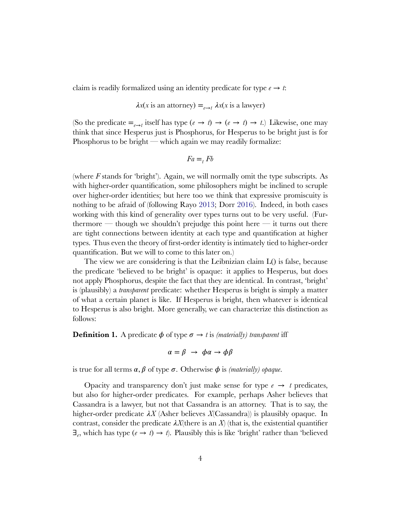claim is readily formalized using an identity predicate for type  $e \rightarrow t$ :

$$
\lambda x(x \text{ is an attorney}) =_{e \to t} \lambda x(x \text{ is a lawyer})
$$

(So the predicate  $=_{e\to t}$  itself has type  $(e \to t) \to (e \to t) \to t$ .) Likewise, one may think that since Hesperus just is Phosphorus, for Hesperus to be bright just is for Phosphorus to be bright — which again we may readily formalize:

$$
Fa =_t Fb
$$

(where *F* stands for 'bright'). Again, we will normally omit the type subscripts. As with higher-order quantification, some philosophers might be inclined to scruple over higher-order identities; but here too we think that expressive promiscuity is nothing to be afraid of (following Rayo [2013;](#page-42-7) Dorr [2016](#page-41-7)). Indeed, in both cases working with this kind of generality over types turns out to be very useful. (Furthermore — though we shouldn't prejudge this point here — it turns out there are tight connections between identity at each type and quantification at higher types. Thus even the theory of first-order identity is intimately tied to higher-order quantification. But we will to come to this later on.)

The view we are considering is that the Leibnizian claim L() is false, because the predicate 'believed to be bright' is opaque: it applies to Hesperus, but does not apply Phosphorus, despite the fact that they are identical. In contrast, 'bright' is (plausibly) a *transparent* predicate: whether Hesperus is bright is simply a matter of what a certain planet is like. If Hesperus is bright, then whatever is identical to Hesperus is also bright. More generally, we can characterize this distinction as follows:

**Definition 1.** A predicate  $\phi$  of type  $\sigma \rightarrow t$  is *(materially) transparent* iff

$$
\alpha = \beta \rightarrow \phi\alpha \rightarrow \phi\beta
$$

is true for all terms  $\alpha$ ,  $\beta$  of type  $\sigma$ . Otherwise  $\phi$  is *(materially) opaque*.

Opacity and transparency don't just make sense for type  $e \rightarrow t$  predicates, but also for higher-order predicates. For example, perhaps Asher believes that Cassandra is a lawyer, but not that Cassandra is an attorney. That is to say, the higher-order predicate  $\lambda X$  (Asher believes  $X$  (Cassandra)) is plausibly opaque. In contrast, consider the predicate  $\lambda X$ (there is an *X*) (that is, the existential quantifier  $\exists_e$ , which has type  $(e \to t) \to t$ ). Plausibly this is like 'bright' rather than 'believed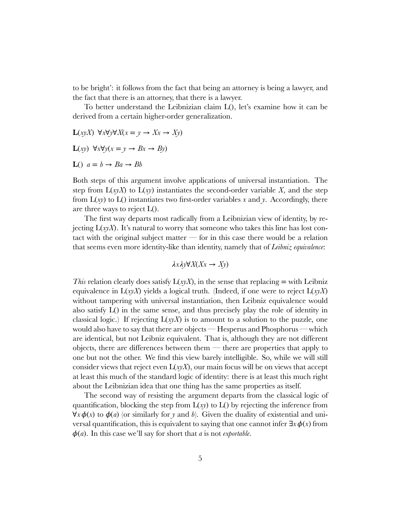to be bright': it follows from the fact that being an attorney is being a lawyer, and the fact that there is an attorney, that there is a lawyer.

To better understand the Leibnizian claim L(), let's examine how it can be derived from a certain higher-order generalization.

**L**(*xyX*) ∀*x*∀*y*∀*X*(*x* = *y* → *Xx* → *Xy*) **L**(*xy*) ∀*x*∀*y*(*x* = *y* → *Bx* → *By*)

$$
L() a = b \rightarrow Ba \rightarrow Bb
$$

Both steps of this argument involve applications of universal instantiation. The step from  $L(xy)$  to  $L(xy)$  instantiates the second-order variable X, and the step from L(*xy*) to L() instantiates two first-order variables *x* and *y*. Accordingly, there are three ways to reject  $L()$ .

The first way departs most radically from a Leibnizian view of identity, by rejecting  $L(xyX)$ . It's natural to worry that someone who takes this line has lost contact with the original subject matter  $-$  for in this case there would be a relation that seems even more identity-like than identity, namely that of *Leibniz equivalence*:

$$
\lambda x \lambda y \forall X (Xx \to Xy)
$$

*This* relation clearly does satisfy  $L(xy)$ , in the sense that replacing = with Leibniz equivalence in L(*xyX*) yields a logical truth. (Indeed, if one were to reject L(*xyX*) without tampering with universal instantiation, then Leibniz equivalence would also satisfy L() in the same sense, and thus precisely play the role of identity in classical logic.) If rejecting  $L(xyX)$  is to amount to a solution to the puzzle, one would also have to say that there are objects — Hesperus and Phosphorus — which are identical, but not Leibniz equivalent. That is, although they are not different objects, there are differences between them — there are properties that apply to one but not the other. We find this view barely intelligible. So, while we will still consider views that reject even  $L(x,yX)$ , our main focus will be on views that accept at least this much of the standard logic of identity: there is at least this much right about the Leibnizian idea that one thing has the same properties as itself.

The second way of resisting the argument departs from the classical logic of quantification, blocking the step from  $L(xy)$  to  $L(y)$  by rejecting the inference from  $\forall x \phi(x)$  to  $\phi(a)$  (or similarly for *y* and *b*). Given the duality of existential and universal quantification, this is equivalent to saying that one cannot infer  $\exists x \phi(x)$  from  $\phi(a)$ . In this case we'll say for short that *a* is not *exportable*.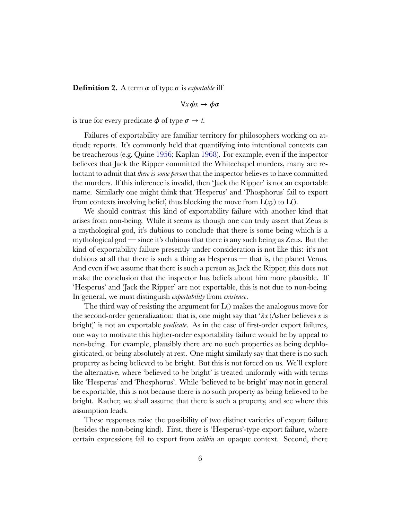**Definition 2.** A term  $\alpha$  of type  $\sigma$  is *exportable* iff

$$
\forall x \, \phi x \to \phi \alpha
$$

is true for every predicate  $\phi$  of type  $\sigma \to t$ .

Failures of exportability are familiar territory for philosophers working on attitude reports. It's commonly held that quantifying into intentional contexts can be treacherous (e.g. Quine [1956;](#page-42-8) Kaplan [1968](#page-41-8)). For example, even if the inspector believes that Jack the Ripper committed the Whitechapel murders, many are reluctant to admit that *there is some person* that the inspector believes to have committed the murders. If this inference is invalid, then 'Jack the Ripper' is not an exportable name. Similarly one might think that 'Hesperus' and 'Phosphorus' fail to export from contexts involving belief, thus blocking the move from  $L(xy)$  to  $L($ ).

We should contrast this kind of exportability failure with another kind that arises from non-being. While it seems as though one can truly assert that Zeus is a mythological god, it's dubious to conclude that there is some being which is a mythological god — since it's dubious that there is any such being as Zeus. But the kind of exportability failure presently under consideration is not like this: it's not dubious at all that there is such a thing as Hesperus — that is, the planet Venus. And even if we assume that there is such a person as Jack the Ripper, this does not make the conclusion that the inspector has beliefs about him more plausible. If 'Hesperus' and 'Jack the Ripper' are not exportable, this is not due to non-being. In general, we must distinguish *exportability* from *existence*.

The third way of resisting the argument for L() makes the analogous move for the second-order generalization: that is, one might say that ' $\lambda x$  (Asher believes *x* is bright)' is not an exportable *predicate*. As in the case of first-order export failures, one way to motivate this higher-order exportability failure would be by appeal to non-being. For example, plausibly there are no such properties as being dephlogisticated, or being absolutely at rest. One might similarly say that there is no such property as being believed to be bright. But this is not forced on us. We'll explore the alternative, where 'believed to be bright' is treated uniformly with with terms like 'Hesperus' and 'Phosphorus'. While 'believed to be bright' may not in general be exportable, this is not because there is no such property as being believed to be bright. Rather, we shall assume that there is such a property, and see where this assumption leads.

These responses raise the possibility of two distinct varieties of export failure (besides the non-being kind). First, there is 'Hesperus'-type export failure, where certain expressions fail to export from *within* an opaque context. Second, there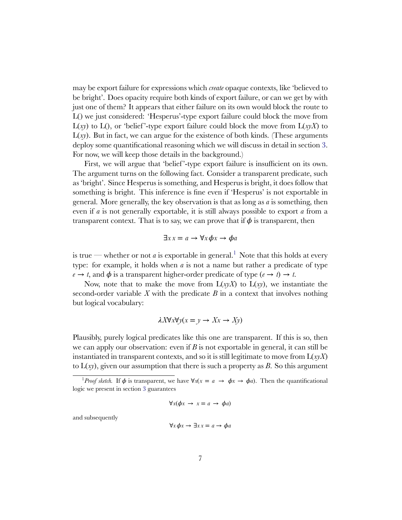may be export failure for expressions which *create* opaque contexts, like 'believed to be bright'. Does opacity require both kinds of export failure, or can we get by with just one of them? It appears that either failure on its own would block the route to L() we just considered: 'Hesperus'-type export failure could block the move from  $L(xy)$  to  $L()$ , or 'belief'-type export failure could block the move from  $L(xyX)$  to L(*xy*). But in fact, we can argue for the existence of both kinds. (These arguments deploy some quantificational reasoning which we will discuss in detail in section [3](#page-13-0). For now, we will keep those details in the background.)

First, we will argue that 'belief'-type export failure is insufficient on its own. The argument turns on the following fact. Consider a transparent predicate, such as 'bright'. Since Hesperus is something, and Hesperus is bright, it does follow that something is bright. This inference is fine even if 'Hesperus' is not exportable in general. More generally, the key observation is that as long as *a* is something, then even if *a* is not generally exportable, it is still always possible to export *a* from a transparent context. That is to say, we can prove that if  $\phi$  is transparent, then

$$
\exists x \, x = a \to \forall x \, \phi x \to \phi a
$$

is true — whether or not *a* is exportable in general.<sup>[1](#page-6-0)</sup> Note that this holds at every type: for example, it holds when *a* is not a name but rather a predicate of type  $e \rightarrow t$ , and  $\phi$  is a transparent higher-order predicate of type  $(e \rightarrow t) \rightarrow t$ .

Now, note that to make the move from L(*xyX*) to L(*xy*), we instantiate the second-order variable *X* with the predicate *B* in a context that involves nothing but logical vocabulary:

$$
\lambda X \forall x \forall y (x = y \rightarrow Xx \rightarrow Xy)
$$

Plausibly, purely logical predicates like this one are transparent. If this is so, then we can apply our observation: even if *B* is not exportable in general, it can still be instantiated in transparent contexts, and so it is still legitimate to move from  $L(x \gamma X)$ to L(*xy*), given our assumption that there is such a property as *B*. So this argument

$$
\forall x(\phi x \to x = a \to \phi a)
$$

and subsequently

$$
\forall x \, \phi x \to \exists x \, x = a \to \phi a
$$

<span id="page-6-0"></span><sup>&</sup>lt;sup>1</sup>Proof sketch. If  $\phi$  is transparent, we have  $\forall x(x = a \rightarrow \phi x \rightarrow \phi a)$ . Then the quantificational logic we present in section [3](#page-13-0) guarantees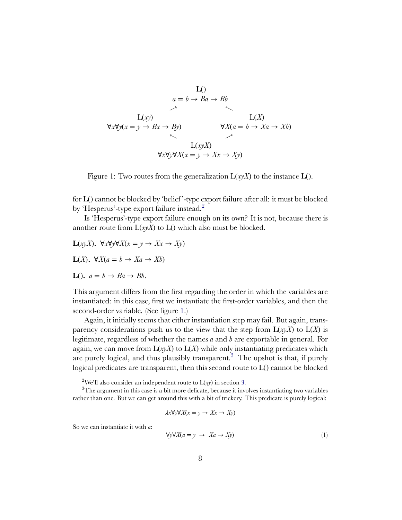$$
L()
$$
\n
$$
a = b \rightarrow Ba \rightarrow Bb
$$
\n
$$
L(xy)
$$
\n
$$
\forall x \forall y (x = y \rightarrow Bx \rightarrow By)
$$
\n
$$
\forall x \forall y (x = y \rightarrow Bx \rightarrow By)
$$
\n
$$
L(xyX)
$$
\n
$$
L(xyX)
$$
\n
$$
\forall x \forall y \forall X (x = y \rightarrow Xx \rightarrow Xy)
$$

<span id="page-7-1"></span>Figure 1: Two routes from the generalization  $L(xyX)$  to the instance  $L()$ .

for L() cannot be blocked by 'belief '-type export failure after all: it must be blocked by 'Hesperus'-type export failure instead.<sup>[2](#page-7-0)</sup>

Is 'Hesperus'-type export failure enough on its own? It is not, because there is another route from  $L(xyX)$  to  $L(y)$  which also must be blocked.

**L**(*xyX*)**.** ∀*x*∀*y*∀*X*(*x* = *y* → *Xx* → *Xy*) **L**(*X*)**.** ∀*X*(*a* = *b* → *Xa* → *Xb*) **L**().  $a = b \rightarrow Ba \rightarrow Bb$ .

This argument differs from the first regarding the order in which the variables are instantiated: in this case, first we instantiate the first-order variables, and then the second-order variable. (See figure [1](#page-7-1).)

Again, it initially seems that either instantiation step may fail. But again, transparency considerations push us to the view that the step from  $L(x \times X)$  to  $L(X)$  is legitimate, regardless of whether the names *a* and *b* are exportable in general. For again, we can move from  $L(xyX)$  to  $L(X)$  while only instantiating predicates which are purely logical, and thus plausibly transparent.<sup>[3](#page-7-2)</sup> The upshot is that, if purely logical predicates are transparent, then this second route to L() cannot be blocked

$$
\lambda x \forall y \forall X (x = y \rightarrow Xx \rightarrow Xy)
$$

So we can instantiate it with *a*:

<span id="page-7-3"></span>
$$
\forall y \forall X (a = y \rightarrow Xa \rightarrow Xy) \tag{1}
$$

<span id="page-7-2"></span><span id="page-7-0"></span><sup>&</sup>lt;sup>2</sup>We'll also consider an independent route to  $L(xy)$  in section [3](#page-13-0).

 $3$ The argument in this case is a bit more delicate, because it involves instantiating two variables rather than one. But we can get around this with a bit of trickery. This predicate is purely logical: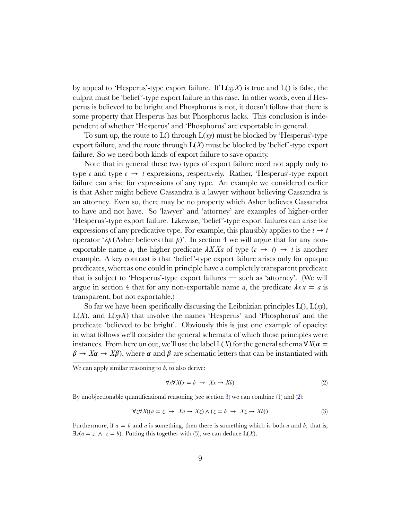by appeal to 'Hesperus'-type export failure. If L(*xyX*) is true and L() is false, the culprit must be 'belief '-type export failure in this case. In other words, even if Hesperus is believed to be bright and Phosphorus is not, it doesn't follow that there is some property that Hesperus has but Phosphorus lacks. This conclusion is independent of whether 'Hesperus' and 'Phosphorus' are exportable in general.

To sum up, the route to L() through L(*xy*) must be blocked by 'Hesperus'-type export failure, and the route through  $L(X)$  must be blocked by 'belief'-type export failure. So we need both kinds of export failure to save opacity.

Note that in general these two types of export failure need not apply only to type *e* and type  $e \rightarrow t$  expressions, respectively. Rather, 'Hesperus'-type export failure can arise for expressions of any type. An example we considered earlier is that Asher might believe Cassandra is a lawyer without believing Cassandra is an attorney. Even so, there may be no property which Asher believes Cassandra to have and not have. So 'lawyer' and 'attorney' are examples of higher-order 'Hesperus'-type export failure. Likewise, 'belief '-type export failures can arise for expressions of any predicative type. For example, this plausibly applies to the  $t \to t$ operator ' $\lambda p$  (Asher believes that p)'. In section [4](#page-21-0) we will argue that for any nonexportable name *a*, the higher predicate  $\lambda X X a$  of type  $(e \rightarrow t) \rightarrow t$  is another example. A key contrast is that 'belief '-type export failure arises only for opaque predicates, whereas one could in principle have a completely transparent predicate that is subject to 'Hesperus'-type export failures — such as 'attorney'. (We will argue in section [4](#page-21-0) that for any non-exportable name a, the predicate  $\lambda x \overline{x} = a$  is transparent, but not exportable.)

So far we have been specifically discussing the Leibnizian principles L(), L(*xy*),  $L(X)$ , and  $L(xyX)$  that involve the names 'Hesperus' and 'Phosphorus' and the predicate 'believed to be bright'. Obviously this is just one example of opacity: in what follows we'll consider the general schemata of which those principles were instances. From here on out, we'll use the label  $L(X)$  for the general schema  $\forall X(\alpha =$  $\beta \rightarrow X\alpha \rightarrow X\beta$ ), where  $\alpha$  and  $\beta$  are schematic letters that can be instantiated with

We can apply similar reasoning to  $b$ , to also derive:

<span id="page-8-0"></span>
$$
\forall x \forall X (x = b \rightarrow Xx \rightarrow Xb) \tag{2}
$$

By unobjectionable quantificational reasoning (see section [3](#page-13-0))we can combine  $(1)$  $(1)$  and  $(2)$  $(2)$ :

<span id="page-8-1"></span>
$$
\forall z \forall X ((a = z \rightarrow Xa \rightarrow Xz) \land (z = b \rightarrow Xz \rightarrow Xb))
$$
\n(3)

Furthermore, if  $a = b$  and *a* is something, then there is something which is both *a* and *b*: that is,  $\exists z(a=z \land z=b)$  $\exists z(a=z \land z=b)$  $\exists z(a=z \land z=b)$ . Putting this together with ([3\)](#page-8-1), we can deduce  $L(X)$ .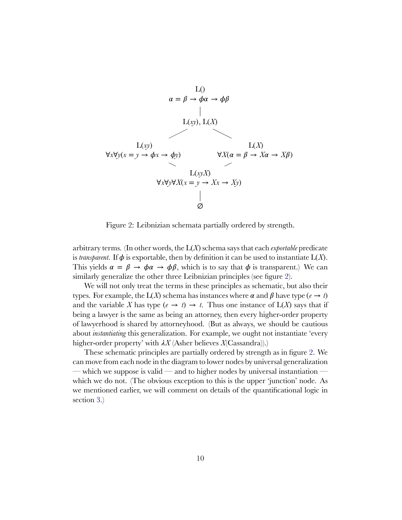

<span id="page-9-0"></span>Figure 2: Leibnizian schemata partially ordered by strength.

arbitrary terms. (In other words, the L(*X*) schema says that each *exportable* predicate is *transparent*. If  $\phi$  is exportable, then by definition it can be used to instantiate  $L(X)$ . This yields  $\alpha = \beta \rightarrow \phi \alpha \rightarrow \phi \beta$ , which is to say that  $\phi$  is transparent.) We can similarly generalize the other three Leibnizian principles (see figure [2\)](#page-9-0).

We will not only treat the terms in these principles as schematic, but also their types. For example, the  $L(X)$  schema has instances where  $\alpha$  and  $\beta$  have type ( $e \rightarrow t$ ) and the variable *X* has type  $(e \rightarrow t) \rightarrow t$ . Thus one instance of  $L(X)$  says that if being a lawyer is the same as being an attorney, then every higher-order property of lawyerhood is shared by attorneyhood. (But as always, we should be cautious about *instantiating* this generalization. For example, we ought not instantiate 'every higher-order property' with *X* (Asher believes *X*(Cassandra)).)

These schematic principles are partially ordered by strength as in figure [2.](#page-9-0) We can move from each node in the diagram to lower nodes by universal generalization — which we suppose is valid — and to higher nodes by universal instantiation which we do not. (The obvious exception to this is the upper 'junction' node. As we mentioned earlier, we will comment on details of the quantificational logic in section [3.](#page-13-0))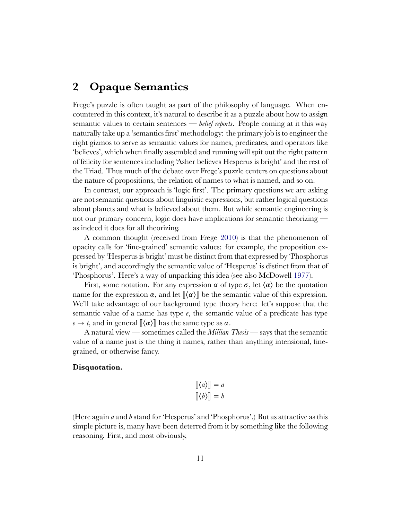# <span id="page-10-0"></span>**2 Opaque Semantics**

Frege's puzzle is often taught as part of the philosophy of language. When encountered in this context, it's natural to describe it as a puzzle about how to assign semantic values to certain sentences — *belief reports*. People coming at it this way naturally take up a 'semantics first' methodology: the primary job is to engineer the right gizmos to serve as semantic values for names, predicates, and operators like 'believes', which when finally assembled and running will spit out the right pattern of felicity for sentences including 'Asher believes Hesperus is bright' and the rest of the Triad. Thus much of the debate over Frege's puzzle centers on questions about the nature of propositions, the relation of names to what is named, and so on.

In contrast, our approach is 'logic first'. The primary questions we are asking are not semantic questions about linguistic expressions, but rather logical questions about planets and what is believed about them. But while semantic engineering is not our primary concern, logic does have implications for semantic theorizing as indeed it does for all theorizing.

A common thought (received from Frege [2010\)](#page-41-2) is that the phenomenon of opacity calls for 'fine-grained' semantic values: for example, the proposition expressed by 'Hesperus is bright' must be distinct from that expressed by 'Phosphorus is bright', and accordingly the semantic value of 'Hesperus' is distinct from that of 'Phosphorus'. Here's a way of unpacking this idea (see also McDowell [1977](#page-41-9)).

First, some notation. For any expression  $\alpha$  of type  $\sigma$ , let  $\langle \alpha \rangle$  be the quotation name for the expression  $\alpha$ , and let  $\langle \alpha \rangle$  be the semantic value of this expression. We'll take advantage of our background type theory here: let's suppose that the semantic value of a name has type *e*, the semantic value of a predicate has type  $e \rightarrow t$ , and in general  $\langle \alpha \rangle$  has the same type as  $\alpha$ .

A natural view — sometimes called the *Millian Thesis* — says that the semantic value of a name just is the thing it names, rather than anything intensional, finegrained, or otherwise fancy.

### **Disquotation.**

$$
\begin{aligned}\n\llbracket \langle a \rangle \rrbracket &= a \\
\llbracket \langle b \rangle \rrbracket &= b\n\end{aligned}
$$

(Here again *a* and *b* stand for 'Hesperus' and 'Phosphorus'.) But as attractive as this simple picture is, many have been deterred from it by something like the following reasoning. First, and most obviously,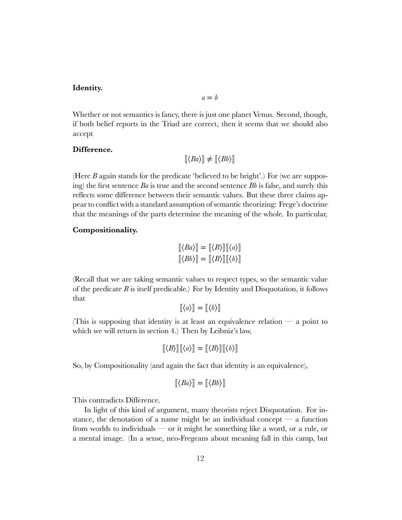#### **Identity.**

$$
a = b
$$

Whether or not semantics is fancy, there is just one planet Venus. Second, though, if both belief reports in the Triad are correct, then it seems that we should also accept

### **Difference.**

$$
[\![\langle Ba \rangle]\!] \neq [\![\langle Bb \rangle]\!]
$$

(Here *B* again stands for the predicate 'believed to be bright'.) For (we are supposing) the first sentence *Ba* is true and the second sentence *Bb* is false, and surely this reflects some difference between their semantic values. But these three claims appear to conflict with a standard assumption of semantic theorizing: Frege's doctrine that the meanings of the parts determine the meaning of the whole. In particular,

#### **Compositionality.**

$$
\begin{aligned}\n\llbracket \langle Ba \rangle \rrbracket &= \llbracket \langle B \rangle \rrbracket \llbracket \langle a \rangle \rrbracket \\
\llbracket \langle Bb \rangle \rrbracket &= \llbracket \langle B \rangle \rrbracket \llbracket \langle b \rangle \rrbracket\n\end{aligned}
$$

(Recall that we are taking semantic values to respect types, so the semantic value of the predicate *B* is itself predicable.) For by Identity and Disquotation, it follows that

$$
[\![\langle a \rangle]\!] = [\![\langle b \rangle]\!]
$$

(This is supposing that identity is at least an equivalence relation — a point to which we will return in section [4](#page-21-0).) Then by Leibniz's law,

$$
[\![\langle B \rangle]\!][\![\langle a \rangle]\!] = [\![\langle B \rangle]\!][\![\langle b \rangle]\!]
$$

So, by Compositionality (and again the fact that identity is an equivalence),

$$
[\![\langle Ba \rangle]\!] = [\![\langle Bb \rangle]\!]
$$

This contradicts Difference.

In light of this kind of argument, many theorists reject Disquotation. For instance, the denotation of a name might be an individual concept  $\frac{d}{dx}$  function from worlds to individuals — or it might be something like a word, or a rule, or a mental image. (In a sense, neo-Fregeans about meaning fall in this camp, but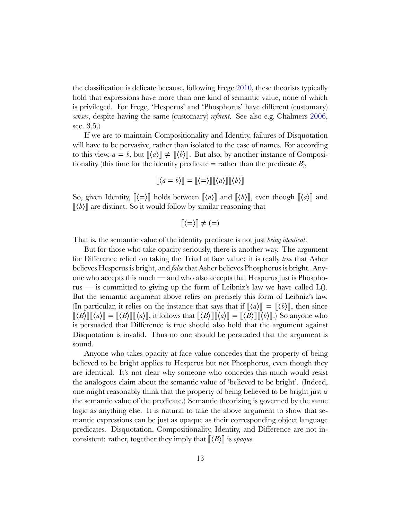the classification is delicate because, following Frege [2010,](#page-41-2) these theorists typically hold that expressions have more than one kind of semantic value, none of which is privileged. For Frege, 'Hesperus' and 'Phosphorus' have different (customary) *senses*, despite having the same (customary) *referent*. See also e.g. Chalmers [2006](#page-41-10), sec. 3.5.)

If we are to maintain Compositionality and Identity, failures of Disquotation will have to be pervasive, rather than isolated to the case of names. For according to this view,  $a = b$ , but  $\llbracket \langle a \rangle \rrbracket \neq \llbracket \langle b \rangle \rrbracket$ . But also, by another instance of Compositionality (this time for the identity predicate  $=$  rather than the predicate  $B$ ),

$$
[[\langle a=b\rangle]] = [[\langle = \rangle]] [[\langle a \rangle]] [[\langle b \rangle]]
$$

So, given Identity,  $\llbracket \langle = \rangle \rrbracket$  holds between  $\llbracket \langle a \rangle \rrbracket$  and  $\llbracket \langle b \rangle \rrbracket$ , even though  $\llbracket \langle a \rangle \rrbracket$  and  $\langle \phi \rangle$  are distinct. So it would follow by similar reasoning that

$$
[\!\! [\langle = \rangle]\!\!] \neq (=)
$$

That is, the semantic value of the identity predicate is not just *being identical*.

But for those who take opacity seriously, there is another way. The argument for Difference relied on taking the Triad at face value: it is really *true* that Asher believes Hesperus is bright, and *false* that Asher believes Phosphorus is bright. Anyone who accepts this much — and who also accepts that Hesperus just is Phosphorus — is committed to giving up the form of Leibniz's law we have called  $L()$ . But the semantic argument above relies on precisely this form of Leibniz's law. (In particular, it relies on the instance that says that if  $\langle a \rangle \rangle = \langle \langle b \rangle \rangle$ , then since  $\langle [\langle B \rangle] | [\langle a \rangle] = [\langle B \rangle] | [\langle a \rangle]$ , it follows that  $[\langle B \rangle] | [\langle a \rangle] = [\langle B \rangle] | [\langle b \rangle]$ .) So anyone who is persuaded that Difference is true should also hold that the argument against Disquotation is invalid. Thus no one should be persuaded that the argument is sound.

Anyone who takes opacity at face value concedes that the property of being believed to be bright applies to Hesperus but not Phosphorus, even though they are identical. It's not clear why someone who concedes this much would resist the analogous claim about the semantic value of 'believed to be bright'. (Indeed, one might reasonably think that the property of being believed to be bright just *is* the semantic value of the predicate.) Semantic theorizing is governed by the same logic as anything else. It is natural to take the above argument to show that semantic expressions can be just as opaque as their corresponding object language predicates. Disquotation, Compositionality, Identity, and Difference are not inconsistent: rather, together they imply that  $\langle B \rangle$  is *opaque*.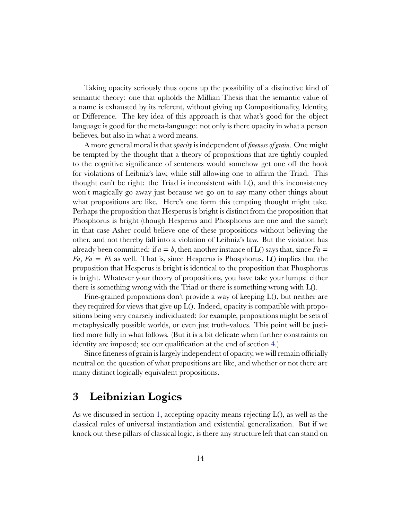Taking opacity seriously thus opens up the possibility of a distinctive kind of semantic theory: one that upholds the Millian Thesis that the semantic value of a name is exhausted by its referent, without giving up Compositionality, Identity, or Difference. The key idea of this approach is that what's good for the object language is good for the meta-language: not only is there opacity in what a person believes, but also in what a word means.

A more general moral is that *opacity* is independent of *fineness of grain*. One might be tempted by the thought that a theory of propositions that are tightly coupled to the cognitive significance of sentences would somehow get one off the hook for violations of Leibniz's law, while still allowing one to affirm the Triad. This thought can't be right: the Triad is inconsistent with  $L($ ), and this inconsistency won't magically go away just because we go on to say many other things about what propositions are like. Here's one form this tempting thought might take. Perhaps the proposition that Hesperus is bright is distinct from the proposition that Phosphorus is bright (though Hesperus and Phosphorus are one and the same); in that case Asher could believe one of these propositions without believing the other, and not thereby fall into a violation of Leibniz's law. But the violation has already been committed: if  $a = b$ , then another instance of L() says that, since  $Fa =$ *Fa*, *Fa* = *Fb* as well. That is, since Hesperus is Phosphorus, L() implies that the proposition that Hesperus is bright is identical to the proposition that Phosphorus is bright. Whatever your theory of propositions, you have take your lumps: either there is something wrong with the Triad or there is something wrong with L().

Fine-grained propositions don't provide a way of keeping L(), but neither are they required for views that give up L(). Indeed, opacity is compatible with propositions being very coarsely individuated: for example, propositions might be sets of metaphysically possible worlds, or even just truth-values. This point will be justified more fully in what follows. (But it is a bit delicate when further constraints on identity are imposed; see our qualification at the end of section [4.](#page-21-0))

Since fineness of grain is largely independent of opacity, we will remain officially neutral on the question of what propositions are like, and whether or not there are many distinct logically equivalent propositions.

# <span id="page-13-0"></span>**3 Leibnizian Logics**

As we discussed in section [1](#page-0-0), accepting opacity means rejecting L(), as well as the classical rules of universal instantiation and existential generalization. But if we knock out these pillars of classical logic, is there any structure left that can stand on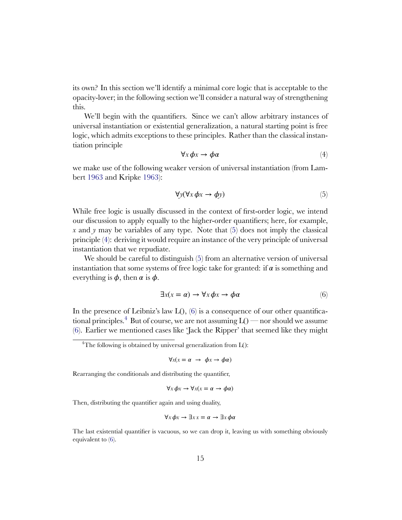its own? In this section we'll identify a minimal core logic that is acceptable to the opacity-lover; in the following section we'll consider a natural way of strengthening this.

We'll begin with the quantifiers. Since we can't allow arbitrary instances of universal instantiation or existential generalization, a natural starting point is free logic, which admits exceptions to these principles. Rather than the classical instantiation principle

<span id="page-14-1"></span>
$$
\forall x \, \phi x \to \phi \alpha \tag{4}
$$

we make use of the following weaker version of universal instantiation (from Lambert [1963](#page-41-11) and Kripke [1963\)](#page-41-12):

<span id="page-14-0"></span>
$$
\forall y (\forall x \, \phi x \to \phi y) \tag{5}
$$

While free logic is usually discussed in the context of first-order logic, we intend our discussion to apply equally to the higher-order quantifiers; here, for example, *x* and *y* may be variables of any type. Note that  $(5)$  does not imply the classical principle [\(4](#page-14-1)): deriving it would require an instance of the very principle of universal instantiation that we repudiate.

We should be careful to distinguish([5\)](#page-14-0) from an alternative version of universal instantiation that some systems of free logic take for granted: if  $\alpha$  is something and everything is  $\phi$ , then  $\alpha$  is  $\phi$ .

<span id="page-14-2"></span>
$$
\exists x(x = \alpha) \to \forall x \, \phi x \to \phi \alpha \tag{6}
$$

Inthe presence of Leibniz's law  $L()$ , ([6\)](#page-14-2) is a consequence of our other quantifica-tional principles.<sup>[4](#page-14-3)</sup> But of course, we are not assuming  $L()$  — nor should we assume ([6\)](#page-14-2). Earlier we mentioned cases like 'Jack the Ripper' that seemed like they might

$$
\forall x(x = \alpha \rightarrow \phi x \rightarrow \phi \alpha)
$$

Rearranging the conditionals and distributing the quantifier,

$$
\forall x \, \phi x \to \forall x (x = \alpha \to \phi \alpha)
$$

Then, distributing the quantifier again and using duality,

$$
\forall x \, \phi x \to \exists x \, x = \alpha \to \exists x \, \phi \alpha
$$

The last existential quantifier is vacuous, so we can drop it, leaving us with something obviously equivalent to [\(6](#page-14-2)).

<span id="page-14-3"></span><sup>&</sup>lt;sup>4</sup>The following is obtained by universal generalization from  $L($ ):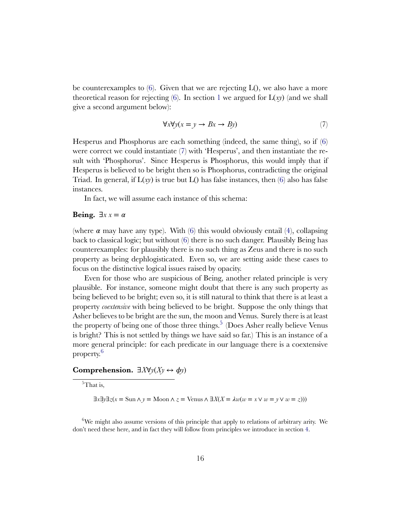be counterexamples to  $(6)$ . Given that we are rejecting  $L()$ , we also have a more theoreticalreason for rejecting  $(6)$  $(6)$  $(6)$ . In section [1](#page-0-0) we argued for  $L(xy)$  (and we shall give a second argument below):

<span id="page-15-0"></span>
$$
\forall x \forall y (x = y \to Bx \to By) \tag{7}
$$

Hesperus and Phosphorus are each something (indeed, the same thing), so if([6\)](#page-14-2) were correct we could instantiate [\(7](#page-15-0)) with 'Hesperus', and then instantiate the result with 'Phosphorus'. Since Hesperus is Phosphorus, this would imply that if Hesperus is believed to be bright then so is Phosphorus, contradicting the original Triad.In general, if  $L(xy)$  is true but  $L(y)$  has false instances, then ([6\)](#page-14-2) also has false instances.

In fact, we will assume each instance of this schema:

#### **Being.**  $\exists x \ x = \alpha$

(where  $\alpha$  may have any type). With [\(6](#page-14-2)) this would obviously entail [\(4](#page-14-1)), collapsing back to classical logic; but without [\(6](#page-14-2)) there is no such danger. Plausibly Being has counterexamples: for plausibly there is no such thing as Zeus and there is no such property as being dephlogisticated. Even so, we are setting aside these cases to focus on the distinctive logical issues raised by opacity.

Even for those who are suspicious of Being, another related principle is very plausible. For instance, someone might doubt that there is any such property as being believed to be bright; even so, it is still natural to think that there is at least a property *coextensive* with being believed to be bright. Suppose the only things that Asher believes to be bright are the sun, the moon and Venus. Surely there is at least the property of being one of those three things.<sup>[5](#page-15-1)</sup> (Does Asher really believe Venus is bright? This is not settled by things we have said so far.) This is an instance of a more general principle: for each predicate in our language there is a coextensive property.[6](#page-15-2)

### **Comprehension.**  $\exists X \forall y (Xy \leftrightarrow \phi y)$

<span id="page-15-1"></span><sup>5</sup>That is,

∃*x*∃*y*∃*z*(*x* = Sun ∧ *y* = Moon ∧ *z* = Venus ∧ ∃*X*(*X* =  $\lambda w(w = x \vee w = y \vee w = z))$ )

<span id="page-15-2"></span> $6W$ e might also assume versions of this principle that apply to relations of arbitrary arity. We don't need these here, and in fact they will follow from principles we introduce in section [4.](#page-21-0)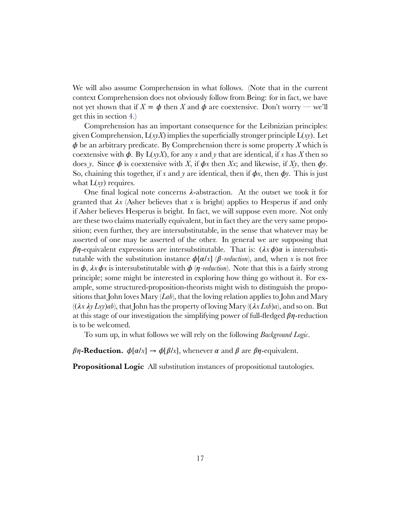We will also assume Comprehension in what follows. (Note that in the current context Comprehension does not obviously follow from Being: for in fact, we have not yet shown that if  $X = \phi$  then X and  $\phi$  are coextensive. Don't worry — we'll get this in section [4](#page-21-0).)

Comprehension has an important consequence for the Leibnizian principles: given Comprehension, L(*xyX*) implies the superficially stronger principle L(*xy*). Let  $\phi$  be an arbitrary predicate. By Comprehension there is some property *X* which is coextensive with  $\phi$ . By  $L(xy)$ , for any *x* and *y* that are identical, if *x* has *X* then so does *y*. Since  $\phi$  is coextensive with *X*, if  $\phi$ *x* then *Xx*; and likewise, if *Xy*, then  $\phi$ *y*. So, chaining this together, if *x* and *y* are identical, then if  $\phi x$ , then  $\phi y$ . This is just what  $L(xy)$  requires.

One final logical note concerns  $\lambda$ -abstraction. At the outset we took it for granted that  $\lambda x$  (Asher believes that x is bright) applies to Hesperus if and only if Asher believes Hesperus is bright. In fact, we will suppose even more. Not only are these two claims materially equivalent, but in fact they are the very same proposition; even further, they are intersubstitutable, in the sense that whatever may be asserted of one may be asserted of the other. In general we are supposing that  $\beta\eta$ -equivalent expressions are intersubstitutable. That is:  $(\lambda x \phi) \alpha$  is intersubstitutable with the substitution instance  $\phi[\alpha/x]$  ( $\beta$ *-reduction*), and, when *x* is not free in  $\phi$ ,  $\lambda x \phi x$  is intersubstitutable with  $\phi$  (*n*-reduction). Note that this is a fairly strong principle; some might be interested in exploring how thing go without it. For example, some structured-proposition-theorists might wish to distinguish the propositions that John loves Mary (*Lab*), that the loving relation applies to John and Mary  $((\lambda x \lambda y Lxy)ab)$ , that John has the property of loving Mary  $((\lambda x Lxb)a)$ , and so on. But at this stage of our investigation the simplifying power of full-fledged  $\beta\eta$ -reduction is to be welcomed.

To sum up, in what follows we will rely on the following *Background Logic*.

 $\beta \eta$ -Reduction.  $\phi[\alpha/x] \to \phi[\beta/x]$ , whenever  $\alpha$  and  $\beta$  are  $\beta \eta$ -equivalent.

**Propositional Logic** All substitution instances of propositional tautologies.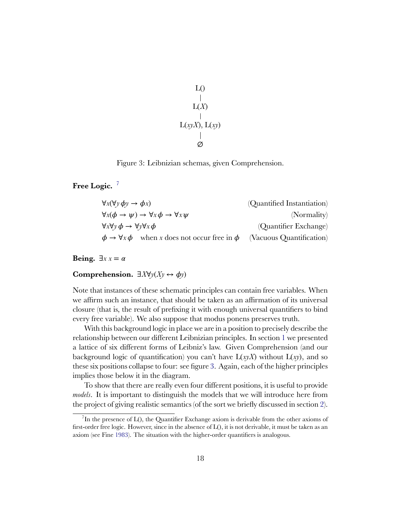$L()$  $L(X)$ L(*xyX*), L(*xy*) ∅

<span id="page-17-1"></span>Figure 3: Leibnizian schemas, given Comprehension.

**Free Logic.** [7](#page-17-0)

$$
\forall x (\forall y \, \phi y \to \phi x)
$$
 (Quantified Instantiation)  
\n
$$
\forall x (\phi \to \psi) \to \forall x \, \phi \to \forall x \, \psi
$$
 (Normally)  
\n
$$
\forall x \forall y \, \phi \to \forall y \forall x \, \phi
$$
 (Quantifier Exchange)  
\n
$$
\phi \to \forall x \, \phi
$$
 when *x* does not occur free in  $\phi$  (Vacuous Quantification)

**Being.**  $\exists x \ x = \alpha$ 

**Comprehension.**  $\exists X \forall y (Xy \leftrightarrow \phi y)$ 

Note that instances of these schematic principles can contain free variables. When we affirm such an instance, that should be taken as an affirmation of its universal closure (that is, the result of prefixing it with enough universal quantifiers to bind every free variable). We also suppose that modus ponens preserves truth.

With this background logic in place we are in a position to precisely describe the relationship between our different Leibnizian principles. In section [1](#page-0-0) we presented a lattice of six different forms of Leibniz's law. Given Comprehension (and our background logic of quantification) you can't have L(*xyX*) without L(*xy*), and so these six positions collapse to four: see figure [3](#page-17-1). Again, each of the higher principles implies those below it in the diagram.

To show that there are really even four different positions, it is useful to provide *models*. It is important to distinguish the models that we will introduce here from the project of giving realistic semantics (of the sort we briefly discussed in section [2\)](#page-10-0).

<span id="page-17-0"></span><sup>&</sup>lt;sup>7</sup>In the presence of L(), the Quantifier Exchange axiom is derivable from the other axioms of first-order free logic. However, since in the absence of L(), it is not derivable, it must be taken as an axiom (see Fine [1983](#page-41-13)). The situation with the higher-order quantifiers is analogous.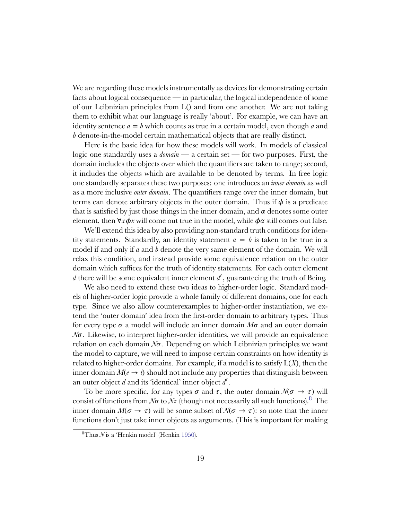We are regarding these models instrumentally as devices for demonstrating certain facts about logical consequence — in particular, the logical independence of some of our Leibnizian principles from L() and from one another. We are not taking them to exhibit what our language is really 'about'. For example, we can have an identity sentence *a* = *b* which counts as true in a certain model, even though *a* and *b* denote-in-the-model certain mathematical objects that are really distinct.

Here is the basic idea for how these models will work. In models of classical logic one standardly uses a *domain* — a certain set — for two purposes. First, the domain includes the objects over which the quantifiers are taken to range; second, it includes the objects which are available to be denoted by terms. In free logic one standardly separates these two purposes: one introduces an *inner domain* as well as a more inclusive *outer domain*. The quantifiers range over the inner domain, but terms can denote arbitrary objects in the outer domain. Thus if  $\phi$  is a predicate that is satisfied by just those things in the inner domain, and  $\alpha$  denotes some outer element, then  $\forall x \phi x$  will come out true in the model, while  $\phi \alpha$  still comes out false.

We'll extend this idea by also providing non-standard truth conditions for identity statements. Standardly, an identity statement  $a = b$  is taken to be true in a model if and only if *a* and *b* denote the very same element of the domain. We will relax this condition, and instead provide some equivalence relation on the outer domain which suffices for the truth of identity statements. For each outer element *d* there will be some equivalent inner element *d* ′ , guaranteeing the truth of Being.

We also need to extend these two ideas to higher-order logic. Standard models of higher-order logic provide a whole family of different domains, one for each type. Since we also allow counterexamples to higher-order instantiation, we extend the 'outer domain' idea from the first-order domain to arbitrary types. Thus for every type  $\sigma$  a model will include an inner domain  $M\sigma$  and an outer domain *N*. Likewise, to interpret higher-order identities, we will provide an equivalence relation on each domain  $N\sigma$ . Depending on which Leibnizian principles we want the model to capture, we will need to impose certain constraints on how identity is related to higher-order domains. For example, if a model is to satisfy L(*X*), then the inner domain  $M(e \rightarrow t)$  should not include any properties that distinguish between an outer object *d* and its 'identical' inner object *d* ′ .

To be more specific, for any types  $\sigma$  and  $\tau$ , the outer domain  $\mathcal{N}(\sigma \to \tau)$  will consist of functions from  $N\sigma$  to  $N\tau$  (though not necessarily all such functions).<sup>[8](#page-18-0)</sup> The inner domain  $M(\sigma \to \tau)$  will be some subset of  $\mathcal{N}(\sigma \to \tau)$ : so note that the inner functions don't just take inner objects as arguments. (This is important for making

<span id="page-18-0"></span> ${}^{8}$ Thus *N* is a 'Henkin model' (Henkin [1950](#page-41-14)).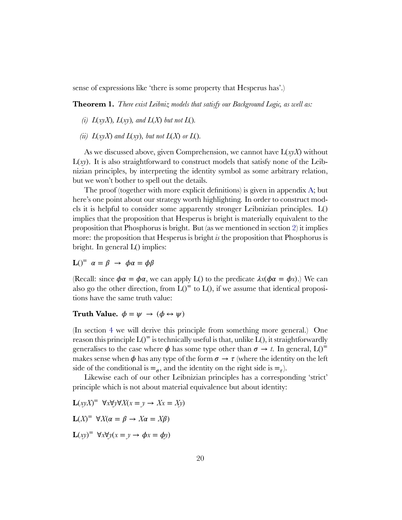sense of expressions like 'there is some property that Hesperus has'.)

<span id="page-19-0"></span>**Theorem 1.** *There exist Leibniz models that satisfy our Background Logic, as well as:*

- *(i)*  $L(xyX)$ ,  $L(xy)$ , and  $L(X)$  but not  $L(Y)$ .
- *(ii)*  $L(xyX)$  *and*  $L(xy)$ *, but not*  $L(X)$  *or*  $L($ *).*

As we discussed above, given Comprehension, we cannot have L(*xyX*) without L(*xy*). It is also straightforward to construct models that satisfy none of the Leibnizian principles, by interpreting the identity symbol as some arbitrary relation, but we won't bother to spell out the details.

The proof (together with more explicit definitions) is given in appendix [A;](#page-31-0) but here's one point about our strategy worth highlighting. In order to construct models it is helpful to consider some apparently stronger Leibnizian principles. L() implies that the proposition that Hesperus is bright is materially equivalent to the proposition that Phosphorus is bright. But (as we mentioned in section [2](#page-10-0)) it implies more: the proposition that Hesperus is bright *is* the proposition that Phosphorus is bright. In general L() implies:

 $L() = \alpha = \beta \rightarrow \phi \alpha = \phi \beta$ 

(Recall: since  $\phi \alpha = \phi \alpha$ , we can apply L() to the predicate  $\lambda x(\phi \alpha = \phi x)$ .) We can also go the other direction, from  $L()^=$  to  $L()$ , if we assume that identical propositions have the same truth value:

### **Truth Value.**  $\phi = \psi \rightarrow (\phi \leftrightarrow \psi)$

(In section [4](#page-21-0) we will derive this principle from something more general.) One reason this principle  $L()^=$  is technically useful is that, unlike  $L()$ , it straightforwardly generalises to the case where  $\phi$  has some type other than  $\sigma \to t$ . In general, L()<sup>=</sup> makes sense when  $\phi$  has any type of the form  $\sigma \to \tau$  (where the identity on the left side of the conditional is  $=_{\sigma}$ , and the identity on the right side is  $=_{\tau}$ ).

Likewise each of our other Leibnizian principles has a corresponding 'strict' principle which is not about material equivalence but about identity:

$$
\mathbf{L}(xyX) = \forall x \forall y \forall X (x = y \rightarrow Xx = Xy)
$$

$$
\mathbf{L}(X) = \forall X (\alpha = \beta \rightarrow X\alpha = X\beta)
$$

$$
\mathbf{L}(xy) = \forall x \forall y (x = y \rightarrow \phi x = \phi y)
$$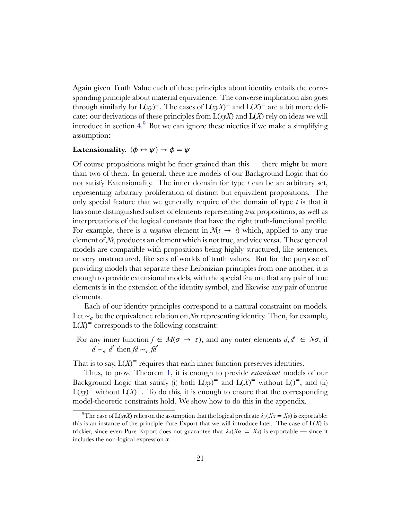Again given Truth Value each of these principles about identity entails the corresponding principle about material equivalence. The converse implication also goes through similarly for  $L(xy)$ <sup>=</sup>. The cases of  $L(xyX)$ <sup>=</sup> and  $L(X)$ <sup>=</sup> are a bit more delicate: our derivations of these principles from L(*xyX*) and L(*X*) rely on ideas we will introduce in section [4.](#page-21-0) [9](#page-20-0) But we can ignore these niceties if we make a simplifying assumption:

### **Extensionality.**  $(\phi \leftrightarrow \psi) \rightarrow \phi = \psi$

Of course propositions might be finer grained than this — there might be more than two of them. In general, there are models of our Background Logic that do not satisfy Extensionality. The inner domain for type *t* can be an arbitrary set, representing arbitrary proliferation of distinct but equivalent propositions. The only special feature that we generally require of the domain of type *t* is that it has some distinguished subset of elements representing *true* propositions, as well as interpretations of the logical constants that have the right truth-functional profile. For example, there is a *negation* element in  $\mathcal{N}(t \to t)$  which, applied to any true element of *Nt*, produces an element which is not true, and vice versa. These general models are compatible with propositions being highly structured, like sentences, or very unstructured, like sets of worlds of truth values. But for the purpose of providing models that separate these Leibnizian principles from one another, it is enough to provide extensional models, with the special feature that any pair of true elements is in the extension of the identity symbol, and likewise any pair of untrue elements.

Each of our identity principles correspond to a natural constraint on models. Let  $\sim_{\sigma}$  be the equivalence relation on *N* $\sigma$  representing identity. Then, for example,  $L(X)$ <sup> $\equiv$ </sup> corresponds to the following constraint:

For any inner function  $f \in M(\sigma \to \tau)$ , and any outer elements  $d, d' \in N\sigma$ , if *d* ∼<sub>*σ</sub> d'* then *fd* ∼ *τ fd'*</sub>

That is to say,  $L(X)$ <sup>=</sup> requires that each inner function preserves identities.

Thus, to prove Theorem [1](#page-19-0), it is enough to provide *extensional* models of our Background Logic that satisfy (i) both  $L(xy)^{=}$  and  $L(X)^{=}$  without  $L()^{=}$ , and (ii)  $L(xy)$ <sup>=</sup> without  $L(X)$ <sup>=</sup>. To do this, it is enough to ensure that the corresponding model-theoretic constraints hold. We show how to do this in the appendix.

<span id="page-20-0"></span><sup>&</sup>lt;sup>9</sup>The case of  $L(xyX)$  relies on the assumption that the logical predicate  $\lambda y(Xx = Xy)$  is exportable: this is an instance of the principle Pure Export that we will introduce later. The case of  $L(X)$  is trickier, since even Pure Export does not guarantee that  $\lambda x(X\alpha) = Xx$  is exportable — since it includes the non-logical expression  $\alpha$ .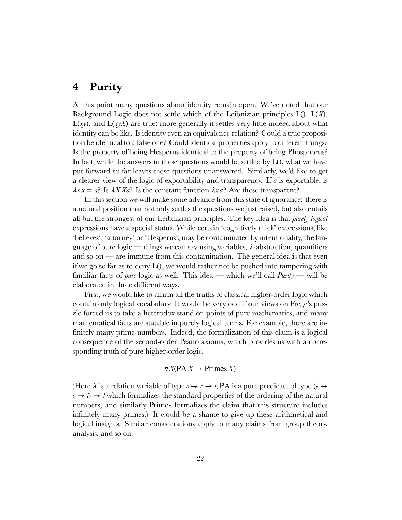# <span id="page-21-0"></span>**4 Purity**

At this point many questions about identity remain open. We've noted that our Background Logic does not settle which of the Leibnizian principles L(), L(*X*),  $L(xy)$ , and  $L(xy)$  are true; more generally it settles very little indeed about what identity can be like. Is identity even an equivalence relation? Could a true proposition be identical to a false one? Could identical properties apply to different things? Is the property of being Hesperus identical to the property of being Phosphorus? In fact, while the answers to these questions would be settled by L(), what we have put forward so far leaves these questions unanswered. Similarly, we'd like to get a clearer view of the logic of exportability and transparency. If *a* is exportable, is  $\lambda x x = a$ ? Is  $\lambda X X a$ ? Is the constant function  $\lambda x a$ ? Are these transparent?

In this section we will make some advance from this state of ignorance: there is a natural position that not only settles the questions we just raised, but also entails all but the strongest of our Leibnizian principles. The key idea is that *purely logical* expressions have a special status. While certain 'cognitively thick' expressions, like 'believes', 'attorney' or 'Hesperus', may be contaminated by intentionality, the language of pure logic — things we can say using variables,  $\lambda$ -abstraction, quantifiers and so on — are immune from this contamination. The general idea is that even if we go so far as to deny L(), we would rather not be pushed into tampering with familiar facts of *pure* logic as well. This idea — which we'll call *Purity* — will be elaborated in three different ways.

First, we would like to affirm all the truths of classical higher-order logic which contain only logical vocabulary. It would be very odd if our views on Frege's puzzle forced us to take a heterodox stand on points of pure mathematics, and many mathematical facts are statable in purely logical terms. For example, there are infinitely many prime numbers. Indeed, the formalization of this claim is a logical consequence of the second-order Peano axioms, which provides us with a corresponding truth of pure higher-order logic.

### ∀*X*(PA *X* → Primes *X*)

(Here *X* is a relation variable of type  $e \rightarrow e \rightarrow t$ , PA is a pure predicate of type ( $e \rightarrow$  $e \rightarrow t$ )  $\rightarrow$  *t* which formalizes the standard properties of the ordering of the natural numbers, and similarly Primes formalizes the claim that this structure includes infinitely many primes.) It would be a shame to give up these arithmetical and logical insights. Similar considerations apply to many claims from group theory, analysis, and so on.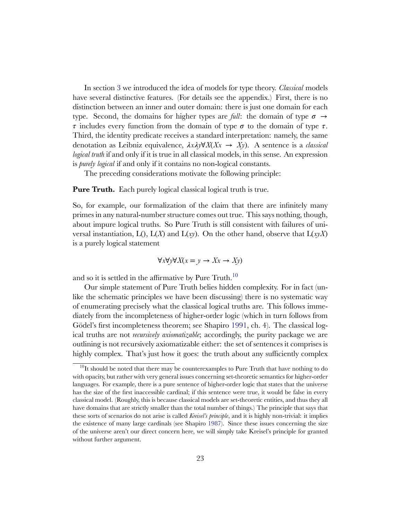In section [3](#page-13-0) we introduced the idea of models for type theory. *Classical* models have several distinctive features. (For details see the appendix.) First, there is no distinction between an inner and outer domain: there is just one domain for each type. Second, the domains for higher types are *full*: the domain of type  $\sigma \rightarrow$  $\tau$  includes every function from the domain of type  $\sigma$  to the domain of type  $\tau$ . Third, the identity predicate receives a standard interpretation: namely, the same denotation as Leibniz equivalence,  $\lambda x \lambda y \forall X (Xx \rightarrow Xy)$ . A sentence is a *classical logical truth* if and only if it is true in all classical models, in this sense. An expression is *purely logical* if and only if it contains no non-logical constants.

The preceding considerations motivate the following principle:

**Pure Truth.** Each purely logical classical logical truth is true.

So, for example, our formalization of the claim that there are infinitely many primes in any natural-number structure comes out true. This says nothing, though, about impure logical truths. So Pure Truth is still consistent with failures of universal instantiation, L(), L(*X*) and L(*xy*). On the other hand, observe that L(*xyX*) is a purely logical statement

$$
\forall x \forall y \forall X (x = y \rightarrow Xx \rightarrow Xy)
$$

and so it is settled in the affirmative by Pure Truth.<sup>[10](#page-22-0)</sup>

Our simple statement of Pure Truth belies hidden complexity. For in fact (unlike the schematic principles we have been discussing) there is no systematic way of enumerating precisely what the classical logical truths are. This follows immediately from the incompleteness of higher-order logic (which in turn follows from Gödel's first incompleteness theorem; see Shapiro [1991](#page-42-5), ch. 4). The classical logical truths are not *recursively axiomatizable*; accordingly, the purity package we are outlining is not recursively axiomatizable either: the set of sentences it comprises is highly complex. That's just how it goes: the truth about any sufficiently complex

<span id="page-22-0"></span> $10$ It should be noted that there may be counterexamples to Pure Truth that have nothing to do with opacity, but rather with very general issues concerning set-theoretic semantics for higher-order languages. For example, there is a pure sentence of higher-order logic that states that the universe has the size of the first inaccessible cardinal; if this sentence were true, it would be false in every classical model. (Roughly, this is because classical models are set-theoretic entities, and thus they all have domains that are strictly smaller than the total number of things.) The principle that says that these sorts of scenarios do not arise is called *Kreisel's principle*, and it is highly non-trivial: it implies the existence of many large cardinals (see Shapiro [1987\)](#page-42-9). Since these issues concerning the size of the universe aren't our direct concern here, we will simply take Kreisel's principle for granted without further argument.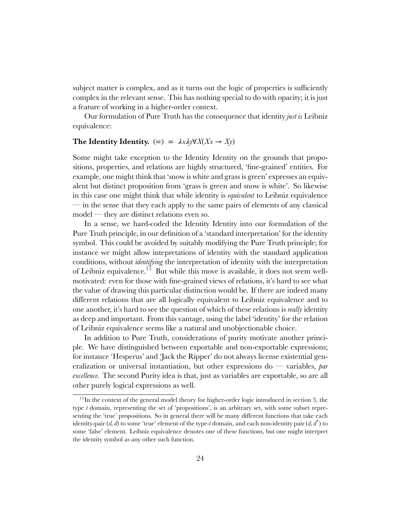subject matter is complex, and as it turns out the logic of properties is sufficiently complex in the relevant sense. This has nothing special to do with opacity; it is just a feature of working in a higher-order context.

Our formulation of Pure Truth has the consequence that identity *just is* Leibniz equivalence:

#### **The Identity Identity.**  $(=) = \lambda x \lambda y \forall X (Xx \rightarrow Xy)$

Some might take exception to the Identity Identity on the grounds that propositions, properties, and relations are highly structured, 'fine-grained' entities. For example, one might think that 'snow is white and grass is green' expresses an equivalent but distinct proposition from 'grass is green and snow is white'. So likewise in this case one might think that while identity is *equivalent* to Leibniz equivalence — in the sense that they each apply to the same pairs of elements of any classical model — they are distinct relations even so.

In a sense, we hard-coded the Identity Identity into our formulation of the Pure Truth principle, in our definition of a 'standard interpretation' for the identity symbol. This could be avoided by suitably modifying the Pure Truth principle; for instance we might allow intepretations of identity with the standard application conditions, without *identifying* the interpretation of identity with the interpretation of Leibniz equivalence.<sup>[11](#page-23-0)</sup> But while this move is available, it does not seem wellmotivated: even for those with fine-grained views of relations, it's hard to see what the value of drawing this particular distinction would be. If there are indeed many different relations that are all logically equivalent to Leibniz equivalence and to one another, it's hard to see the question of which of these relations is *really* identity as deep and important. From this vantage, using the label 'identity' for the relation of Leibniz equivalence seems like a natural and unobjectionable choice.

In addition to Pure Truth, considerations of purity motivate another principle. We have distinguished between exportable and non-exportable expressions; for instance 'Hesperus' and 'Jack the Ripper' do not always license existential generalization or universal instantiation, but other expressions do — variables, *par excellence*. The second Purity idea is that, just as variables are exportable, so are all other purely logical expressions as well.

<span id="page-23-0"></span><sup>&</sup>lt;sup>11</sup>In the context of the general model theory for higher-order logic introduced in section [3,](#page-13-0) the type *t* domain, representing the set of 'propositions', is an arbitrary set, with some subset representing the 'true' propositions. So in general there will be many different functions that take each identity-pair (*d*, *d*) to some 'true' element of the type-*t* domain, and each non-identity pair (*d*, *d* ′ ) to some 'false' element. Leibniz equivalence denotes one of these functions, but one might interpret the identity symbol as any other such function.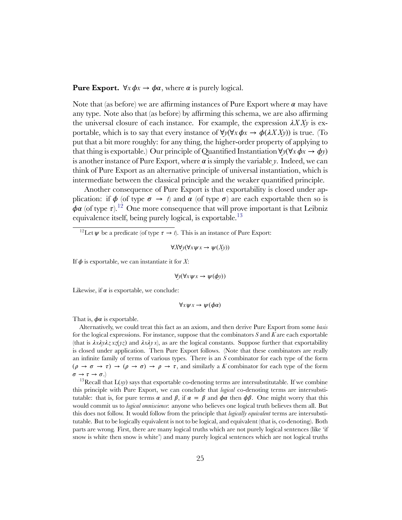#### **Pure Export.**  $\forall x \phi x \rightarrow \phi \alpha$ , where  $\alpha$  is purely logical.

Note that (as before) we are affirming instances of Pure Export where  $\alpha$  may have any type. Note also that (as before) by affirming this schema, we are also affirming the universal closure of each instance. For example, the expression  $\lambda X X y$  is exportable, which is to say that every instance of  $\forall y(\forall x \phi x \rightarrow \phi(\lambda X X y))$  is true. (To put that a bit more roughly: for any thing, the higher-order property of applying to that thing is exportable.) Our principle of Quantified Instantiation  $\forall y (\forall x \phi x \rightarrow \phi y)$ is another instance of Pure Export, where  $\alpha$  is simply the variable  $\gamma$ . Indeed, we can think of Pure Export as an alternative principle of universal instantiation, which is intermediate between the classical principle and the weaker quantified principle.

Another consequence of Pure Export is that exportability is closed under application: if  $\phi$  (of type  $\sigma \to t$ ) and  $\alpha$  (of type  $\sigma$ ) are each exportable then so is  $\phi \alpha$  (of type  $\tau$ ).<sup>[12](#page-24-0)</sup> One more consequence that will prove important is that Leibniz equivalence itself, being purely logical, is exportable.<sup>[13](#page-24-1)</sup>

$$
\forall X \forall y (\forall x \, \psi x \rightarrow \psi(Xy))
$$

If  $\phi$  is exportable, we can instantiate it for X:

 $\forall y (\forall x \psi x → \psi(\phi y))$ 

Likewise, if  $\alpha$  is exportable, we conclude:

 $\forall x \psi x \rightarrow \psi(\phi \alpha)$ 

That is,  $\phi \alpha$  is exportable.

Alternatively, we could treat this fact as an axiom, and then derive Pure Export from some *basis* for the logical expressions. For instance, suppose that the combinators *S* and *K* are each exportable (that is  $\lambda x \lambda y \lambda z x z(yz)$  and  $\lambda x \lambda y x$ ), as are the logical constants. Suppose further that exportability is closed under application. Then Pure Export follows. (Note that these combinators are really an infinite family of terms of various types. There is an *S* combinator for each type of the form  $(\rho \to \sigma \to \tau) \to (\rho \to \sigma) \to \rho \to \tau$ , and similarly a K combinator for each type of the form  $\sigma \to \tau \to \sigma$ .)

<span id="page-24-1"></span><sup>13</sup>Recall that  $L(xy)$  says that exportable co-denoting terms are intersubstitutable. If we combine this principle with Pure Export, we can conclude that *logical* co-denoting terms are intersubstitutable: that is, for pure terms  $\alpha$  and  $\beta$ , if  $\alpha = \beta$  and  $\phi \alpha$  then  $\phi \beta$ . One might worry that this would commit us to *logical omniscience*: anyone who believes one logical truth believes them all. But this does not follow. It would follow from the principle that *logically equivalent* terms are intersubstitutable. But to be logically equivalent is not to be logical, and equivalent (that is, co-denoting). Both parts are wrong. First, there are many logical truths which are not purely logical sentences (like 'if snow is white then snow is white') and many purely logical sentences which are not logical truths

<span id="page-24-0"></span><sup>&</sup>lt;sup>12</sup>Let  $\psi$  be a predicate (of type  $\tau \to t$ ). This is an instance of Pure Export: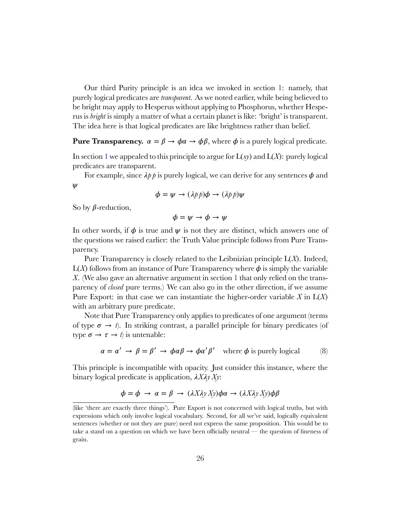Our third Purity principle is an idea we invoked in section [1:](#page-0-0) namely, that purely logical predicates are *transparent*. As we noted earlier, while being believed to be bright may apply to Hesperus without applying to Phosphorus, whether Hesperus is *bright* is simply a matter of what a certain planet is like: 'bright' is transparent. The idea here is that logical predicates are like brightness rather than belief.

### **Pure Transparency.**  $\alpha = \beta \rightarrow \phi \alpha \rightarrow \phi \beta$ , where  $\phi$  is a purely logical predicate.

In section [1](#page-0-0) we appealed to this principle to argue for  $L(xy)$  and  $L(X)$ : purely logical predicates are transparent.

For example, since  $\lambda p$  is purely logical, we can derive for any sentences  $\phi$  and  $\psi$ 

$$
\phi = \psi \to (\lambda \rho \, \rho) \phi \to (\lambda \rho \, \rho) \psi
$$

So by  $\beta$ -reduction,

$$
\phi = \psi \to \phi \to \psi
$$

In other words, if  $\phi$  is true and  $\psi$  is not they are distinct, which answers one of the questions we raised earlier: the Truth Value principle follows from Pure Transparency.

Pure Transparency is closely related to the Leibnizian principle L(*X*). Indeed,  $L(X)$  follows from an instance of Pure Transparency where  $\phi$  is simply the variable *X*. (We also gave an alternative argument in section [1](#page-0-0) that only relied on the transparency of *closed* pure terms.) We can also go in the other direction, if we assume Pure Export: in that case we can instantiate the higher-order variable *X* in L(*X*) with an arbitrary pure predicate.

Note that Pure Transparency only applies to predicates of one argument (terms of type  $\sigma \to t$ ). In striking contrast, a parallel principle for binary predicates (of type  $\sigma \to \tau \to t$  is untenable:

<span id="page-25-0"></span>
$$
\alpha = \alpha' \to \beta = \beta' \to \phi \alpha \beta \to \phi \alpha' \beta'
$$
 where  $\phi$  is purely logical (8)

This principle is incompatible with opacity. Just consider this instance, where the binary logical predicate is application,  $\lambda X \lambda y X y$ :

$$
\phi = \phi \rightarrow \alpha = \beta \rightarrow (\lambda X \lambda y X y) \phi \alpha \rightarrow (\lambda X \lambda y X y) \phi \beta
$$

<sup>(</sup>like 'there are exactly three things'). Pure Export is not concerned with logical truths, but with expressions which only involve logical vocabulary. Second, for all we've said, logically equivalent sentences (whether or not they are pure) need not express the same proposition. This would be to take a stand on a question on which we have been officially neutral — the question of fineness of grain.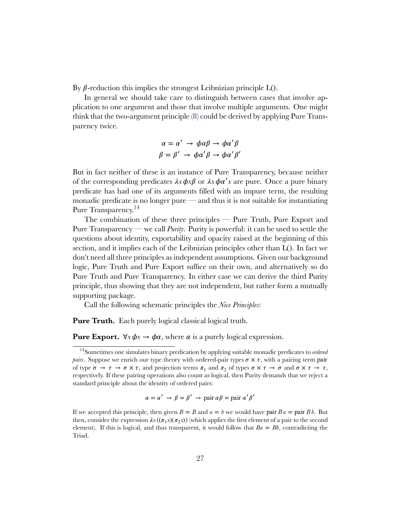By  $\beta$ -reduction this implies the strongest Leibnizian principle L().

In general we should take care to distinguish between cases that involve application to one argument and those that involve multiple arguments. One might think that the two-argument principle([8\)](#page-25-0) could be derived by applying Pure Transparency twice.

$$
\alpha = \alpha' \rightarrow \phi \alpha \beta \rightarrow \phi \alpha' \beta
$$

$$
\beta = \beta' \rightarrow \phi \alpha' \beta \rightarrow \phi \alpha' \beta'
$$

But in fact neither of these is an instance of Pure Transparency, because neither of the corresponding predicates  $\lambda x \phi x \beta$  or  $\lambda x \phi \alpha' x$  are pure. Once a pure binary predicate has had one of its arguments filled with an impure term, the resulting monadic predicate is no longer pure  $\frac{d}{dx}$  and thus it is not suitable for instantiating Pure Transparency.<sup>[14](#page-26-0)</sup>

The combination of these three principles — Pure Truth, Pure Export and Pure Transparency — we call *Purity*. Purity is powerful: it can be used to settle the questions about identity, exportability and opacity raised at the beginning of this section, and it implies each of the Leibnizian principles other than L(). In fact we don't need all three principles as independent assumptions. Given our background logic, Pure Truth and Pure Export suffice on their own, and alternatively so do Pure Truth and Pure Transparency. In either case we can derive the third Purity principle, thus showing that they are not independent, but rather form a mutually supporting package.

Call the following schematic principles the *Nice Principles*:

**Pure Truth.** Each purely logical classical logical truth.

**Pure Export.**  $\forall x \phi x \rightarrow \phi \alpha$ , where  $\alpha$  is a purely logical expression.

$$
\alpha = \alpha' \rightarrow \beta = \beta' \rightarrow \text{pair } \alpha\beta = \text{pair } \alpha' \beta'
$$

If we accepted this principle, then given  $B = B$  and  $a = b$  we would have pair  $Ba = \text{pair } Bb$ . But then, consider the expression  $\lambda x((\pi_1 x)(\pi_2 x))$  (which applies the first element of a pair to the second element). If this is logical, and thus transparent, it would follow that  $Ba = Bb$ , contradicting the Triad.

<span id="page-26-0"></span><sup>14</sup>Sometimes one simulates binary predication by applying suitable monadic predicates to *ordered pairs*. Suppose we enrich our type theory with ordered-pair types  $\sigma \times \tau$ , with a pairing term pair of type  $\sigma \to \tau \to \sigma \times \tau$ , and projection terms  $\pi_1$  and  $\pi_2$  of types  $\sigma \times \tau \to \sigma$  and  $\sigma \times \tau \to \tau$ , respectively. If these pairing operations also count as logical, then Purity demands that we reject a standard principle about the identity of ordered pairs: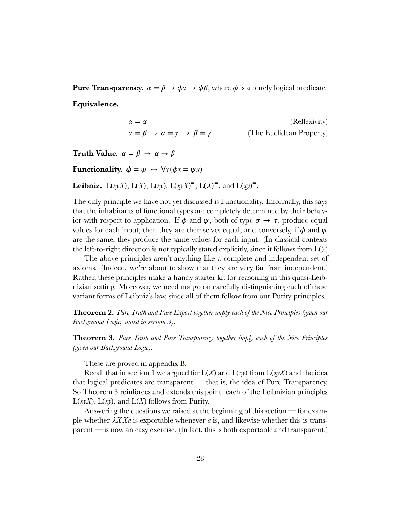**Pure Transparency.**  $\alpha = \beta \rightarrow \phi \alpha \rightarrow \phi \beta$ , where  $\phi$  is a purely logical predicate. **Equivalence.**

$$
\begin{aligned} \alpha &= \alpha \\ \alpha &= \beta \ \rightarrow \ \alpha = \gamma \ \rightarrow \ \beta = \gamma \end{aligned} \qquad \qquad \text{(Reflexivity)}
$$

**Truth Value.**  $\alpha = \beta \rightarrow \alpha \rightarrow \beta$ 

**Functionality.**  $\phi = \psi \leftrightarrow \forall x (\phi x = \psi x)$ 

**Leibniz.** L(*xyX*), L(*X*), L(*xy)*, L(*xyX*)<sup>=</sup>, L(*X*)<sup>=</sup>, and L(*xy*)<sup>=</sup>.

The only principle we have not yet discussed is Functionality. Informally, this says that the inhabitants of functional types are completely determined by their behavior with respect to application. If  $\phi$  and  $\psi$ , both of type  $\sigma \to \tau$ , produce equal values for each input, then they are themselves equal, and conversely, if  $\phi$  and  $\psi$ are the same, they produce the same values for each input. (In classical contexts the left-to-right direction is not typically stated explicitly, since it follows from L().)

The above principles aren't anything like a complete and independent set of axioms. (Indeed, we're about to show that they are very far from independent.) Rather, these principles make a handy starter kit for reasoning in this quasi-Leibnizian setting. Moreover, we need not go on carefully distinguishing each of these variant forms of Leibniz's law, since all of them follow from our Purity principles.

<span id="page-27-1"></span>**Theorem 2.** *Pure Truth and Pure Export together imply each of the Nice Principles (given our Background Logic, stated in section [3](#page-13-0)).*

<span id="page-27-0"></span>**Theorem 3.** *Pure Truth and Pure Transparency together imply each of the Nice Principles (given our Background Logic).*

These are proved in appendix [B.](#page-36-0)

Recall that in section [1](#page-0-0) we argued for  $L(X)$  and  $L(xy)$  from  $L(xyX)$  and the idea that logical predicates are transparent — that is, the idea of Pure Transparency. So Theorem [3](#page-27-0) reinforces and extends this point: each of the Leibnizian principles  $L(xyX)$ ,  $L(xy)$ , and  $L(X)$  follows from Purity.

Answering the questions we raised at the beginning of this section — for example whether  $\lambda X X a$  is exportable whenever *a* is, and likewise whether this is transparent — is now an easy exercise. (In fact, this is both exportable and transparent.)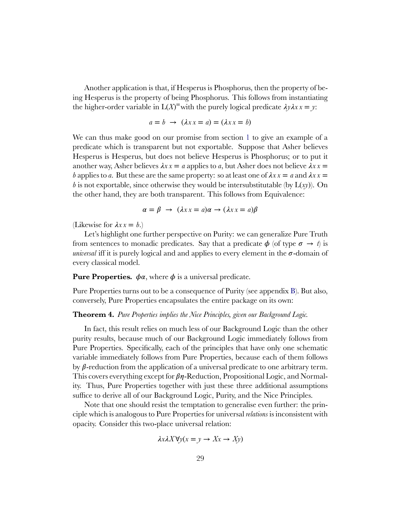Another application is that, if Hesperus is Phosphorus, then the property of being Hesperus is the property of being Phosphorus. This follows from instantiating the higher-order variable in  $L(X)$ <sup>=</sup>with the purely logical predicate  $\lambda y \lambda x = y$ :

$$
a = b \rightarrow (\lambda x \, x = a) = (\lambda x \, x = b)
$$

We can thus make good on our promise from section [1](#page-0-0) to give an example of a predicate which is transparent but not exportable. Suppose that Asher believes Hesperus is Hesperus, but does not believe Hesperus is Phosphorus; or to put it another way, Asher believes  $\lambda x = a$  applies to a, but Asher does not believe  $\lambda x =$ *b* applies to *a*. But these are the same property: so at least one of  $\lambda x = a$  and  $\lambda x = a$ *b* is not exportable, since otherwise they would be intersubstitutable (by  $L(xy)$ ). On the other hand, they are both transparent. This follows from Equivalence:

$$
\alpha = \beta \rightarrow (\lambda x \, x = a)\alpha \rightarrow (\lambda x \, x = a)\beta
$$

(Likewise for  $\lambda x x = b$ .)

Let's highlight one further perspective on Purity: we can generalize Pure Truth from sentences to monadic predicates. Say that a predicate  $\phi$  (of type  $\sigma \to t$ ) is *universal* iff it is purely logical and and applies to every element in the  $\sigma$ -domain of every classical model.

**Pure Properties.**  $\phi \alpha$ , where  $\phi$  is a universal predicate.

Pure Properties turns out to be a consequence of Purity (see appendix [B\)](#page-36-0). But also, conversely, Pure Properties encapsulates the entire package on its own:

#### <span id="page-28-0"></span>**Theorem 4.** *Pure Properties implies the Nice Principles, given our Background Logic.*

In fact, this result relies on much less of our Background Logic than the other purity results, because much of our Background Logic immediately follows from Pure Properties. Specifically, each of the principles that have only one schematic variable immediately follows from Pure Properties, because each of them follows by  $\beta$ -reduction from the application of a universal predicate to one arbitrary term. This covers everything except for  $\beta\eta$ -Reduction, Propositional Logic, and Normality. Thus, Pure Properties together with just these three additional assumptions suffice to derive all of our Background Logic, Purity, and the Nice Principles.

Note that one should resist the temptation to generalise even further: the principle which is analogous to Pure Properties for universal *relations* is inconsistent with opacity. Consider this two-place universal relation:

$$
\lambda x \lambda X \forall y (x = y \to Xx \to Xy)
$$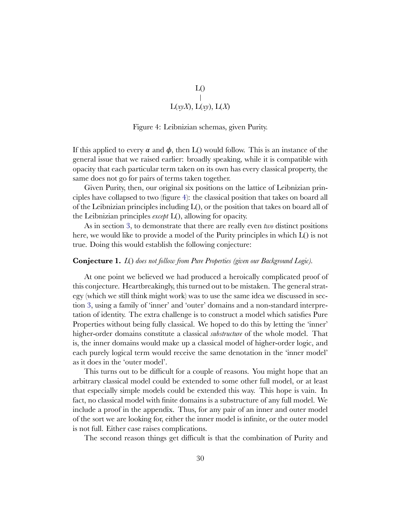# $L()$  $L(xyX), L(xy), L(X)$

#### <span id="page-29-0"></span>Figure 4: Leibnizian schemas, given Purity.

If this applied to every  $\alpha$  and  $\phi$ , then L() would follow. This is an instance of the general issue that we raised earlier: broadly speaking, while it is compatible with opacity that each particular term taken on its own has every classical property, the same does not go for pairs of terms taken together.

Given Purity, then, our original six positions on the lattice of Leibnizian principles have collapsed to two (figure [4\)](#page-29-0): the classical position that takes on board all of the Leibnizian principles including L(), or the position that takes on board all of the Leibnizian principles *except* L(), allowing for opacity.

As in section [3](#page-13-0), to demonstrate that there are really even *two* distinct positions here, we would like to provide a model of the Purity principles in which L() is not true. Doing this would establish the following conjecture:

#### **Conjecture 1.** *L*() *does not follow from Pure Properties (given our Background Logic).*

At one point we believed we had produced a heroically complicated proof of this conjecture. Heartbreakingly, this turned out to be mistaken. The general strategy (which we still think might work) was to use the same idea we discussed in section [3,](#page-13-0) using a family of 'inner' and 'outer' domains and a non-standard interpretation of identity. The extra challenge is to construct a model which satisfies Pure Properties without being fully classical. We hoped to do this by letting the 'inner' higher-order domains constitute a classical *substructure* of the whole model. That is, the inner domains would make up a classical model of higher-order logic, and each purely logical term would receive the same denotation in the 'inner model' as it does in the 'outer model'.

This turns out to be difficult for a couple of reasons. You might hope that an arbitrary classical model could be extended to some other full model, or at least that especially simple models could be extended this way. This hope is vain. In fact, no classical model with finite domains is a substructure of any full model. We include a proof in the appendix. Thus, for any pair of an inner and outer model of the sort we are looking for, either the inner model is infinite, or the outer model is not full. Either case raises complications.

The second reason things get difficult is that the combination of Purity and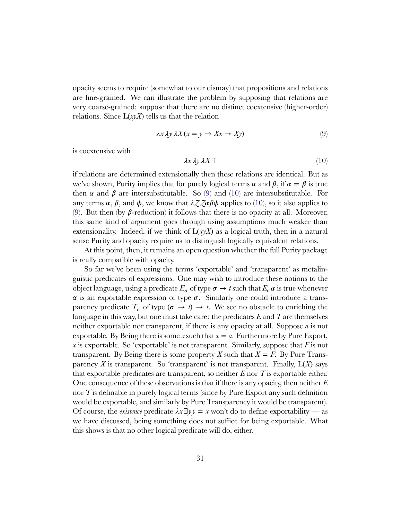opacity seems to require (somewhat to our dismay) that propositions and relations are fine-grained. We can illustrate the problem by supposing that relations are very coarse-grained: suppose that there are no distinct coextensive (higher-order) relations. Since  $L(xyX)$  tells us that the relation

<span id="page-30-0"></span>
$$
\lambda x \lambda y \lambda X (x = y \to Xx \to Xy) \tag{9}
$$

is coextensive with

<span id="page-30-1"></span>
$$
\lambda x \lambda y \lambda X \top \tag{10}
$$

if relations are determined extensionally then these relations are identical. But as we've shown, Purity implies that for purely logical terms  $\alpha$  and  $\beta$ , if  $\alpha = \beta$  is true then $\alpha$  and  $\beta$  are intersubstitutable. So [\(9](#page-30-0)) and ([10\)](#page-30-1) are intersubstitutable. For any terms  $\alpha$ ,  $\beta$ , and  $\phi$ , we know that  $\lambda \zeta \zeta \alpha \beta \phi$  applies to [\(10](#page-30-1)), so it also applies to ([9\)](#page-30-0). But then (by  $\beta$ -reduction) it follows that there is no opacity at all. Moreover, this same kind of argument goes through using assumptions much weaker than extensionality. Indeed, if we think of  $L(x \gamma X)$  as a logical truth, then in a natural sense Purity and opacity require us to distinguish logically equivalent relations.

At this point, then, it remains an open question whether the full Purity package is really compatible with opacity.

So far we've been using the terms 'exportable' and 'transparent' as metalinguistic predicates of expressions. One may wish to introduce these notions to the object language, using a predicate  $E_{\sigma}$  of type  $\sigma \to t$  such that  $E_{\sigma} \alpha$  is true whenever  $\alpha$  is an exportable expression of type  $\sigma$ . Similarly one could introduce a transparency predicate  $T_{\sigma}$  of type  $(\sigma \to t) \to t$ . We see no obstacle to enriching the language in this way, but one must take care: the predicates *E* and *T* are themselves neither exportable nor transparent, if there is any opacity at all. Suppose *a* is not exportable. By Being there is some *x* such that  $x = a$ . Furthermore by Pure Export, *x* is exportable. So 'exportable' is not transparent. Similarly, suppose that *F* is not transparent. By Being there is some property *X* such that  $X = F$ . By Pure Transparency  $X$  is transparent. So 'transparent' is not transparent. Finally,  $L(X)$  says that exportable predicates are transparent, so neither *E* nor *T* is exportable either. One consequence of these observations is that if there is any opacity, then neither *E* nor *T* is definable in purely logical terms (since by Pure Export any such definition would be exportable, and similarly by Pure Transparency it would be transparent). Of course, the *existence* predicate  $\lambda x \exists y y = x$  won't do to define exportability — as we have discussed, being something does not suffice for being exportable. What this shows is that no other logical predicate will do, either.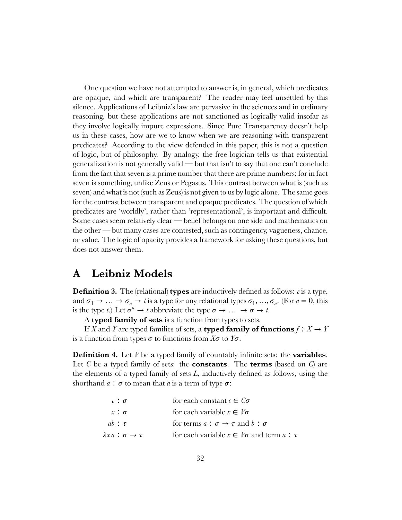One question we have not attempted to answer is, in general, which predicates are opaque, and which are transparent? The reader may feel unsettled by this silence. Applications of Leibniz's law are pervasive in the sciences and in ordinary reasoning, but these applications are not sanctioned as logically valid insofar as they involve logically impure expressions. Since Pure Transparency doesn't help us in these cases, how are we to know when we are reasoning with transparent predicates? According to the view defended in this paper, this is not a question of logic, but of philosophy. By analogy, the free logician tells us that existential generalization is not generally valid — but that isn't to say that one can't conclude from the fact that seven is a prime number that there are prime numbers; for in fact seven is something, unlike Zeus or Pegasus. This contrast between what is (such as seven) and what is not (such as Zeus) is not given to us by logic alone. The same goes for the contrast between transparent and opaque predicates. The question of which predicates are 'worldly', rather than 'representational', is important and difficult. Some cases seem relatively clear — belief belongs on one side and mathematics on the other — but many cases are contested, such as contingency, vagueness, chance, or value. The logic of opacity provides a framework for asking these questions, but does not answer them.

# <span id="page-31-0"></span>**A Leibniz Models**

**Definition 3.** The (relational) **types** are inductively defined as follows: *e* is a type, and  $\sigma_1 \to \ldots \to \sigma_n \to t$  is a type for any relational types  $\sigma_1, \ldots, \sigma_n$ . (For  $n = 0$ , this is the type *t*.) Let  $\sigma^n \to t$  abbreviate the type  $\sigma \to \ldots \to \sigma \to t$ .

A **typed family of sets** is a function from types to sets.

If *X* and *Y* are typed families of sets, a **typed family of functions**  $f: X \to Y$ is a function from types  $\sigma$  to functions from  $X\sigma$  to  $\varGamma\sigma$ .

**Definition 4.** Let *V* be a typed family of countably infinite sets: the **variables**. Let *C* be a typed family of sets: the **constants**. The **terms** (based on *C*) are the elements of a typed family of sets *L*, inductively defined as follows, using the shorthand  $a : \sigma$  to mean that  $a$  is a term of type  $\sigma$ :

| $c : \sigma$                                 | for each constant $c \in C\sigma$                     |
|----------------------------------------------|-------------------------------------------------------|
| $x : \sigma$                                 | for each variable $x \in V\sigma$                     |
| $ab : \tau$                                  | for terms $a : \sigma \to \tau$ and $b : \sigma$      |
| $\lambda x \alpha : \sigma \rightarrow \tau$ | for each variable $x \in V\sigma$ and term $a : \tau$ |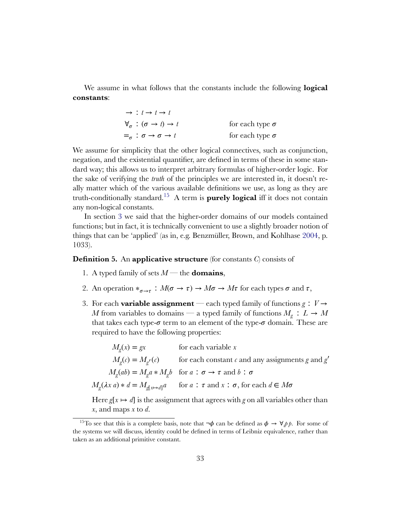We assume in what follows that the constants include the following **logical constants**:

| $\rightarrow : t \rightarrow t \rightarrow t$            |                        |
|----------------------------------------------------------|------------------------|
| $\forall_{\sigma} : (\sigma \to t) \to t$                | for each type $\sigma$ |
| $=_{\sigma}$ : $\sigma \rightarrow \sigma \rightarrow t$ | for each type $\sigma$ |

We assume for simplicity that the other logical connectives, such as conjunction, negation, and the existential quantifier, are defined in terms of these in some standard way; this allows us to interpret arbitrary formulas of higher-order logic. For the sake of verifying the *truth* of the principles we are interested in, it doesn't really matter which of the various available definitions we use, as long as they are truth-conditionally standard.[15](#page-32-0) A term is **purely logical** iff it does not contain any non-logical constants.

In section [3](#page-13-0) we said that the higher-order domains of our models contained functions; but in fact, it is technically convenient to use a slightly broader notion of things that can be 'applied' (as in, e.g. Benzmüller, Brown, and Kohlhase [2004,](#page-40-0) p. 1033).

#### **Definition 5.** An **applicative structure** (for constants *C*) consists of

- 1. A typed family of sets  $M$  the **domains**,
- 2. An operation  $*_{\sigma \to \tau}: M(\sigma \to \tau) \to M\sigma \to M\tau$  for each types  $\sigma$  and  $\tau$ ,
- 3. For each **variable assignment** each typed family of functions  $g : V \rightarrow$ *M* from variables to domains — a typed family of functions  $M_g: L \to M$ that takes each type- $\sigma$  term to an element of the type- $\sigma$  domain. These are required to have the following properties:

 $M_g(x) = gx$  for each variable *x*  $M_g(c) = M_{g'}(c)$  for each constant *c* and any assignments *g* and *g*<sup>'</sup>  $M_g(ab) = M_ga * M_gb$  for  $a : \sigma \to \tau$  and  $b : \sigma$  $M_g(\lambda x \ a) * d = M_{g[x \mapsto d]}a$  for  $a : \tau$  and  $x : \sigma$ , for each  $d \in M\sigma$ 

Here  $g[x \mapsto d]$  is the assignment that agrees with g on all variables other than *x*, and maps *x* to *d*.

<span id="page-32-0"></span><sup>&</sup>lt;sup>15</sup>To see that this is a complete basis, note that  $\neg \phi$  can be defined as  $\phi \to \forall_{\psi} p$ . For some of the systems we will discuss, identity could be defined in terms of Leibniz equivalence, rather than taken as an additional primitive constant.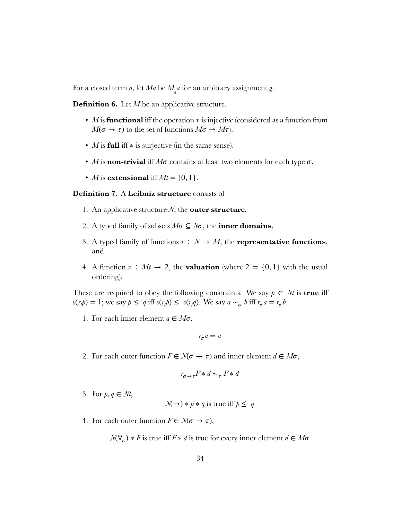For a closed term *a*, let  $Ma$  be  $M_g a$  for an arbitrary assignment *g*.

**Definition 6.** Let *M* be an applicative structure.

- *M* is **functional** iff the operation ∗ is injective (considered as a function from  $M(\sigma \to \tau)$  to the set of functions  $M\sigma \to M\tau$ ).
- *M* is **full** iff ∗ is surjective (in the same sense).
- *M* is **non-trivial** iff  $M\sigma$  contains at least two elements for each type  $\sigma$ .
- *M* is **extensional** iff  $Mt = \{0, 1\}$ .

#### <span id="page-33-3"></span>**Definition 7.** A **Leibniz structure** consists of

- 1. An applicative structure *N*, the **outer structure**,
- 2. A typed family of subsets  $M\sigma \subseteq \mathcal{N}\sigma$ , the **inner domains**,
- 3. A typed family of functions  $r : \mathcal{N} \to M$ , the **representative functions**, and
- 4. A function  $v : Mt \rightarrow 2$ , the **valuation** (where  $2 = \{0, 1\}$  with the usual ordering).

These are required to obey the following constraints. We say  $p \in \mathcal{M}$  is **true** iff  $v(r_t p) = 1$ ; we say  $p \le q$  iff  $v(r_t p) \le v(r_t q)$ . We say  $a \sim_\sigma b$  iff  $r_\sigma a = r_\sigma b$ .

<span id="page-33-4"></span>1. For each inner element  $a \in M\sigma$ ,

$$
r_{\sigma}a = a
$$

<span id="page-33-0"></span>2. For each outer function  $F \in \mathcal{N}(\sigma \to \tau)$  and inner element  $d \in M\sigma$ ,

$$
r_{\sigma \to \tau} F * d \sim_{\tau} F * d
$$

<span id="page-33-1"></span>3. For  $p, q \in \mathcal{N}$ *t*,

 $N(\rightarrow) * p * q$  is true iff  $p \le q$ 

<span id="page-33-2"></span>4. For each outer function  $F \in \mathcal{N}(\sigma \to \tau)$ ,

 $\mathcal{N}(\forall_{\sigma}) * F$  is true iff  $F * d$  is true for every inner element  $d \in M\sigma$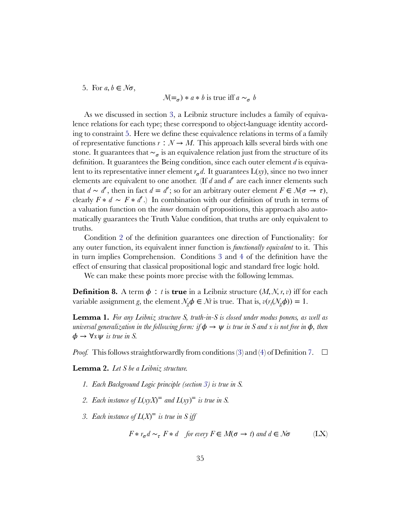<span id="page-34-0"></span>5. For  $a, b \in \mathcal{N}\sigma$ ,

$$
\mathcal{N}(=_\sigma)*a*b \text{ is true iff } a \sim_\sigma b
$$

As we discussed in section [3](#page-13-0), a Leibniz structure includes a family of equivalence relations for each type; these correspond to object-language identity according to constraint [5.](#page-34-0) Here we define these equivalence relations in terms of a family of representative functions  $r : N \to M$ . This approach kills several birds with one stone. It guarantees that  $\sim_\sigma$  is an equivalence relation just from the structure of its definition. It guarantees the Being condition, since each outer element *d* is equivalent to its representative inner element  $r_{\sigma}d$ . It guarantees  $\text{L}(xy)$ , since no two inner elements are equivalent to one another. (If *d* and *d'* are each inner elements such that  $d \sim d'$ , then in fact  $d = d'$ ; so for an arbitrary outer element  $F \in \mathcal{N}(\sigma \to \tau)$ , clearly  $F * d \sim F * d'$ .) In combination with our definition of truth in terms of a valuation function on the *inner* domain of propositions, this approach also automatically guarantees the Truth Value condition, that truths are only equivalent to truths.

Condition [2](#page-33-0) of the definition guarantees one direction of Functionality: for any outer function, its equivalent inner function is *functionally equivalent* to it. This in turn implies Comprehension. Conditions [3](#page-33-1) and [4](#page-33-2) of the definition have the effect of ensuring that classical propositional logic and standard free logic hold.

We can make these points more precise with the following lemmas.

**Definition 8.** A term  $\phi$ : *t* is **true** in a Leibniz structure  $(M, N, r, v)$  iff for each variable assignment *g*, the element  $N_g \phi \in \mathcal{M}$  is true. That is,  $v(r_t(N_g \phi)) = 1$ .

<span id="page-34-3"></span>**Lemma 1.** *For any Leibniz structure S, truth-in-S is closed under modus ponens, as well as universal generalization in the following form: if*  $\phi \rightarrow \psi$  *is true in S and x is not free in*  $\phi$ *, then*  $\phi \rightarrow \forall x \psi$  *is true in S.* 

*Proof.* This follows straightforwardly from conditions [\(3](#page-33-1)) and [\(4](#page-33-2)) of Definition [7](#page-33-3).  $\Box$ 

<span id="page-34-1"></span>**Lemma 2.** *Let S be a Leibniz structure.*

- *1. Each Background Logic principle (section [3](#page-13-0)) is true in S.*
- 2. Each instance of  $L(xyX)$ <sup>=</sup> and  $L(xy)$ <sup>=</sup> is true in *S*.
- 3. Each instance of  $L(X)$ <sup>=</sup> is true in S iff

<span id="page-34-2"></span>
$$
F * r_{\sigma} d \sim_{\tau} F * d \quad \text{for every } F \in M(\sigma \to t) \text{ and } d \in N\sigma \tag{LX}
$$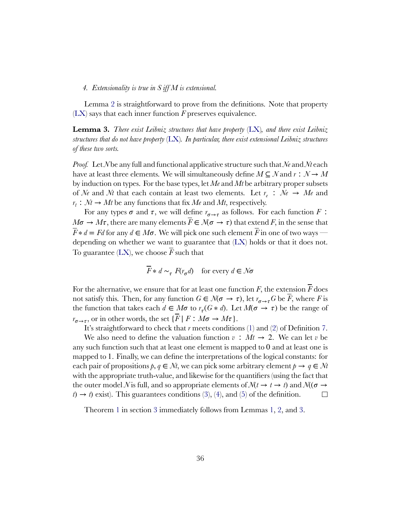#### *4. Extensionality is true in S iff M is extensional.*

Lemma [2](#page-34-1) is straightforward to prove from the definitions. Note that property ([LX](#page-34-2)) says that each inner function *F* preserves equivalence.

<span id="page-35-0"></span>**Lemma 3.** *There exist Leibniz structures that have property* [\(LX](#page-34-2))*, and there exist Leibniz structures that do not have property* [\(LX\)](#page-34-2)*. In particular, there exist extensional Leibniz structures of these two sorts.*

*Proof.* Let *N* be any full and functional applicative structure such that *Ne* and *Nt* each have at least three elements. We will simultaneously define  $M \subseteq N$  and  $r : N \to M$ by induction on types. For the base types, let *Me* and *Mt* be arbitrary proper subsets of *Ne* and *Nt* that each contain at least two elements. Let  $r_e$  : Ne  $\rightarrow$  Me and  $r_t$ :  $Nt \to Mt$  be any functions that fix  $Me$  and  $Mt$ , respectively.

For any types  $\sigma$  and  $\tau$ , we will define  $r_{\sigma \to \tau}$  as follows. For each function  $F$  :  $M\sigma \to M\tau$ , there are many elements  $F \in \mathcal{N}(\sigma \to \tau)$  that extend *F*, in the sense that  $\overline{F} * d = Fd$  for any  $d \in M\sigma$ . We will pick one such element  $\overline{F}$  in one of two ways depending on whether we want to guarantee that [\(LX\)](#page-34-2) holds or that it does not. To guarantee  $(LX)$ , we choose  $\overline{F}$  such that

$$
F * d \sim_{\tau} F(r_{\sigma} d) \quad \text{for every } d \in \mathcal{N}\sigma
$$

For the alternative, we ensure that for at least one function  $\overline{F}$ , the extension  $\overline{F}$  does not satisfy this. Then, for any function  $G \in \mathcal{N}(\sigma \to \tau)$ , let  $r_{\sigma \to \tau} G$  be *F*, where *F* is the function that takes each  $d \in M\sigma$  to  $r_{\tau}(G * d)$ . Let  $M(\sigma \to \tau)$  be the range of  $r_{\sigma \to \tau}$ , or in other words, the set  $\{\overline{F} \mid F : M\sigma \to M\tau\}.$ 

It's straightforward to check that *r* meets conditions([1\)](#page-33-4) and([2\)](#page-33-0) of Definition [7](#page-33-3).

We also need to define the valuation function  $v : Mt \to 2$ . We can let *v* be any such function such that at least one element is mapped to 0 and at least one is mapped to 1. Finally, we can define the interpretations of the logical constants: for each pair of propositions  $p, q \in \mathcal{N}$ , we can pick some arbitrary element  $p \to q \in \mathcal{N}$ t with the appropriate truth-value, and likewise for the quantifiers (using the fact that the outer model *N* is full, and so appropriate elements of  $\mathcal{M}t \to t \to t$  and  $\mathcal{N}(\sigma \to t)$  $t) \rightarrow t$  $t) \rightarrow t$  $t) \rightarrow t$ ) exist). This guarantees conditions [\(3](#page-33-1)), ([4\)](#page-33-2), and ([5\)](#page-34-0) of the definition.  $\Box$ 

Theorem [1](#page-19-0) in section [3](#page-13-0) immediately follows from Lemmas [1,](#page-34-3) [2,](#page-34-1) and [3.](#page-35-0)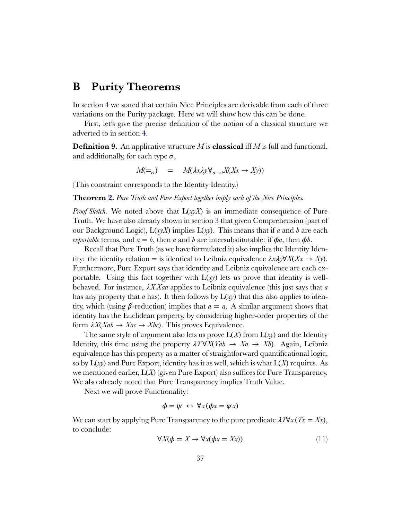# <span id="page-36-0"></span>**B Purity Theorems**

In section [4](#page-21-0) we stated that certain Nice Principles are derivable from each of three variations on the Purity package. Here we will show how this can be done.

First, let's give the precise definition of the notion of a classical structure we adverted to in section [4](#page-21-0).

**Definition 9.** An applicative structure *M* is **classical** iff *M* is full and functional, and additionally, for each type  $\sigma$ ,

$$
M(=_{\sigma}) = M(\lambda x \lambda y \forall_{\sigma \to t} X(Xx \to Xy))
$$

(This constraint corresponds to the Identity Identity.)

**Theorem [2.](#page-27-1)** *Pure Truth and Pure Export together imply each of the Nice Principles.*

*Proof Sketch.* We noted above that L(*xyX*) is an immediate consequence of Pure Truth. We have also already shown in section [3](#page-13-0) that given Comprehension (part of our Background Logic), L(*xyX*) implies L(*xy*). This means that if *a* and *b* are each *exportable* terms, and  $a = b$ , then *a* and *b* are intersubstitutable: if  $\phi a$ , then  $\phi b$ .

Recall that Pure Truth (as we have formulated it) also implies the Identity Identity: the identity relation = is identical to Leibniz equivalence  $\lambda x \lambda y \forall X (Xx \rightarrow Xy)$ . Furthermore, Pure Export says that identity and Leibniz equivalence are each exportable. Using this fact together with  $L(xy)$  lets us prove that identity is wellbehaved. For instance, *X Xaa* applies to Leibniz equivalence (this just says that *a* has any property that *a* has). It then follows by  $L(xy)$  that this also applies to identity, which (using  $\beta$ -reduction) implies that  $a = a$ . A similar argument shows that identity has the Euclidean property, by considering higher-order properties of the form  $\lambda X(Xab \to Xac \to Xbc)$ . This proves Equivalence.

The same style of argument also lets us prove  $L(X)$  from  $L(xy)$  and the Identity Identity, this time using the property  $\lambda Y \forall X (Yab \rightarrow Xa \rightarrow Xb)$ . Again, Leibniz equivalence has this property as a matter of straightforward quantificational logic, so by L(*xy*) and Pure Export, identity has it as well, which is what L(*X*) requires. As we mentioned earlier, L(*X*) (given Pure Export) also suffices for Pure Transparency. We also already noted that Pure Transparency implies Truth Value.

Next we will prove Functionality:

$$
\phi = \psi \leftrightarrow \forall x (\phi x = \psi x)
$$

We can start by applying Pure Transparency to the pure predicate  $\lambda Y \chi (Y \chi = X \chi)$ , to conclude:

<span id="page-36-1"></span>
$$
\forall X(\phi = X \to \forall x(\phi x = Xx)) \tag{11}
$$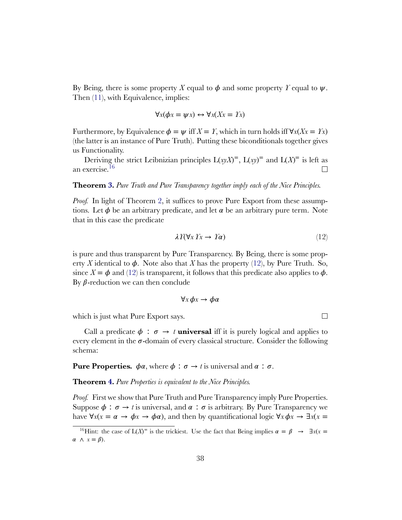By Being, there is some property *X* equal to  $\phi$  and some property *Y* equal to  $\psi$ . Then [\(11](#page-36-1)), with Equivalence, implies:

$$
\forall x(\phi x = \psi x) \leftrightarrow \forall x(Xx = Yx)
$$

Furthermore, by Equivalence  $\phi = \psi$  iff  $X = Y$ , which in turn holds iff  $\forall x (Xx = Yx)$ (the latter is an instance of Pure Truth). Putting these biconditionals together gives us Functionality.

Deriving the strict Leibnizian principles  $L(xyX)^{=}$ ,  $L(xy)^{=}$  and  $L(X)^{=}$  is left as an exercise.[16](#page-37-0)  $\Box$ 

**Theorem [3.](#page-27-0)** *Pure Truth and Pure Transparency together imply each of the Nice Principles.*

*Proof.* In light of Theorem [2](#page-27-1), it suffices to prove Pure Export from these assumptions. Let  $\phi$  be an arbitrary predicate, and let  $\alpha$  be an arbitrary pure term. Note that in this case the predicate

<span id="page-37-1"></span>
$$
\lambda \Upsilon(\forall x \ Yx \to \Upsilon \alpha) \tag{12}
$$

 $\Box$ 

is pure and thus transparent by Pure Transparency. By Being, there is some prop-ertyX identical to  $\phi$ . Note also that X has the property ([12\)](#page-37-1), by Pure Truth. So, since  $X = \phi$  and [\(12](#page-37-1)) is transparent, it follows that this predicate also applies to  $\phi$ . By  $\beta$ -reduction we can then conclude

$$
\forall x \, \phi x \to \phi \alpha
$$

which is just what Pure Export says.

Call a predicate  $\phi$ :  $\sigma \rightarrow t$  **universal** iff it is purely logical and applies to every element in the  $\sigma$ -domain of every classical structure. Consider the following schema:

**Pure Properties.**  $\phi \alpha$ , where  $\phi : \sigma \rightarrow t$  is universal and  $\alpha : \sigma$ .

**Theorem [4.](#page-28-0)** *Pure Properties is equivalent to the Nice Principles.*

*Proof.* First we show that Pure Truth and Pure Transparency imply Pure Properties. Suppose  $\phi : \sigma \to t$  is universal, and  $\alpha : \sigma$  is arbitrary. By Pure Transparency we have  $\forall x(x = \alpha \rightarrow \phi x \rightarrow \phi \alpha)$ , and then by quantificational logic  $\forall x \phi x \rightarrow \exists x(x =$ 

<span id="page-37-0"></span><sup>&</sup>lt;sup>16</sup>Hint: the case of  $L(X)$ <sup>=</sup> is the trickiest. Use the fact that Being implies  $\alpha = \beta \rightarrow \exists x (x =$  $\alpha \wedge x = \beta$ ).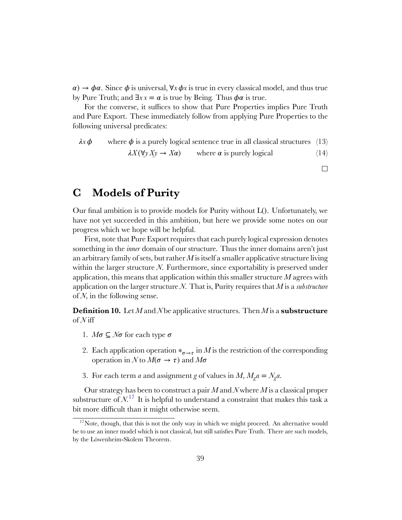$\alpha$ )  $\rightarrow$   $\phi \alpha$ . Since  $\phi$  is universal,  $\forall x \phi x$  is true in every classical model, and thus true by Pure Truth; and  $\exists x \, x = \alpha$  is true by Being. Thus  $\phi \alpha$  is true.

For the converse, it suffices to show that Pure Properties implies Pure Truth and Pure Export. These immediately follow from applying Pure Properties to the following universal predicates:

 $\lambda x \phi$  where  $\phi$  is a purely logical sentence true in all classical structures (13)  $\lambda X(\forall y \, Xy \to X\alpha)$  where  $\alpha$  is purely logical (14)

 $\Box$ 

# **C Models of Purity**

Our final ambition is to provide models for Purity without L(). Unfortunately, we have not yet succeeded in this ambition, but here we provide some notes on our progress which we hope will be helpful.

First, note that Pure Export requires that each purely logical expression denotes something in the *inner* domain of our structure. Thus the inner domains aren't just an arbitrary family of sets, but rather *M* is itself a smaller applicative structure living within the larger structure *N*. Furthermore, since exportability is preserved under application, this means that application within this smaller structure *M* agrees with application on the larger structure *N*. That is, Purity requires that *M* is a *substructure* of *N*, in the following sense.

**Definition 10.** Let *M* and *N* be applicative structures. Then *M* is a **substructure** of *N* iff

- 1.  $M\sigma$  ⊆  $N\sigma$  for each type  $\sigma$
- 2. Each application operation  $*_{\sigma \to \tau}$  in *M* is the restriction of the corresponding operation in *N* to  $M(\sigma \rightarrow \tau)$  and  $M\sigma$
- 3. For each term *a* and assignment *g* of values in *M*,  $M_g a = N_g a$ .

Our strategy has been to construct a pair *M* and *N* where *M* is a classical proper substructure of  $\mathcal{N}^{17}$  $\mathcal{N}^{17}$  $\mathcal{N}^{17}$  It is helpful to understand a constraint that makes this task a bit more difficult than it might otherwise seem.

<span id="page-38-0"></span><sup>&</sup>lt;sup>17</sup>Note, though, that this is not the only way in which we might proceed. An alternative would be to use an inner model which is not classical, but still satisfies Pure Truth. There are such models, by the Löwenheim-Skolem Theorem.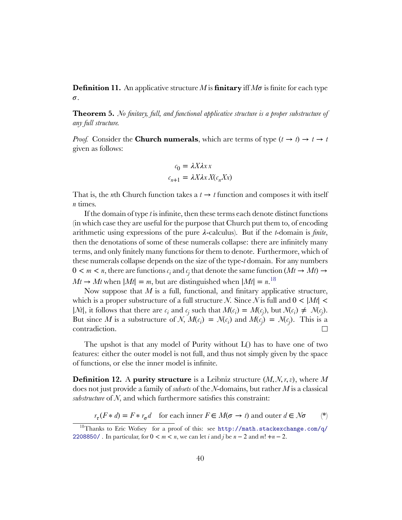**Definition 11.** An applicative structure M is **finitary** if  $M\sigma$  is finite for each type  $\sigma$ .

**Theorem 5.** *No finitary, full, and functional applicative structure is a proper substructure of any full structure.*

*Proof.* Consider the **Church numerals**, which are terms of type  $(t \rightarrow t) \rightarrow t \rightarrow t$ given as follows:

$$
c_0 = \lambda X \lambda x x
$$

$$
c_{n+1} = \lambda X \lambda x X (c_n X x)
$$

That is, the *n*th Church function takes a  $t \rightarrow t$  function and composes it with itself *n* times.

If the domain of type *t* is infinite, then these terms each denote distinct functions (in which case they are useful for the purpose that Church put them to, of encoding arithmetic using expressions of the pure  $\lambda$ -calculus). But if the *t*-domain is *finite*, then the denotations of some of these numerals collapse: there are infinitely many terms, and only finitely many functions for them to denote. Furthermore, which of these numerals collapse depends on the size of the type-*t* domain. For any numbers  $0 < m < n$ , there are functions  $c_i$  and  $c_j$  that denote the same function  $(Mt \rightarrow Mt) \rightarrow$  $Mt \rightarrow Mt$  when  $|Mt| = m$ , but are distinguished when  $|Mt| = n$ .<sup>[18](#page-39-0)</sup>

Now suppose that *M* is a full, functional, and finitary applicative structure, which is a proper substructure of a full structure *N*. Since *N* is full and  $0 < |Mt|$ |*Nt*|, it follows that there are  $c_i$  and  $c_j$  such that  $M(c_i) = M(c_j)$ , but  $N(c_i) \neq N(c_j)$ . But since *M* is a substructure of *N*,  $M(c_i) = N(c_i)$  and  $M(c_j) = N(c_j)$ . This is a contradiction.  $\Box$ 

The upshot is that any model of Purity without L() has to have one of two features: either the outer model is not full, and thus not simply given by the space of functions, or else the inner model is infinite.

**Definition 12.** A **purity structure** is a Leibniz structure (*M*, *N*, *r*,*v*), where *M* does not just provide a family of *subsets* of the *N*-domains, but rather *M* is a classical *substructure* of *N*, and which furthermore satisfies this constraint:

<span id="page-39-1"></span>
$$
r_{\tau}(F * d) = F * r_{\sigma} d \quad \text{for each inner } F \in M(\sigma \to t) \text{ and outer } d \in N\sigma \tag{*}
$$

<span id="page-39-0"></span><sup>&</sup>lt;sup>18</sup>Thanks to Eric Wofsey for a proof of this: see [http://math.stackexchange.com/q/](http://math.stackexchange.com/q/2208850/) [2208850/](http://math.stackexchange.com/q/2208850/) . In particular, for  $0 < m < n$ , we can let *i* and *j* be  $n - 2$  and  $m! + n - 2$ .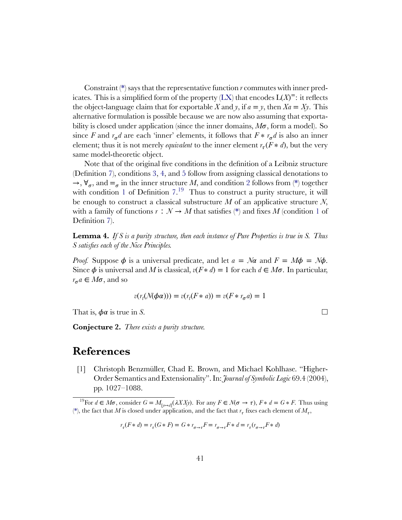Constraint([\\*\)](#page-39-1) says that the representative function *r* commutes with inner pred-icates.This is a simplified form of the property ([LX](#page-34-2)) that encodes  $L(X)^\dagger$ : it reflects the object-language claim that for exportable *X* and *y*, if  $a = y$ , then  $Xa = Xy$ . This alternative formulation is possible because we are now also assuming that exportability is closed under application (since the inner domains,  $M\sigma$ , form a model). So since *F* and  $r_{\sigma}d$  are each 'inner' elements, it follows that  $F * r_{\sigma}d$  is also an inner element; thus it is not merely *equivalent* to the inner element  $r_{\tau}(F * d)$ , but the very same model-theoretic object.

Note that of the original five conditions in the definition of a Leibniz structure (Definition [7](#page-33-3)), conditions [3](#page-33-1), [4](#page-33-2), and [5](#page-34-0) follow from assigning classical denotations to  $\rightarrow$ , $\forall_{\sigma}$ , and  $=\_{\sigma}$  in the inner structure *M*, and condition [2](#page-33-0) follows from ([\\*\)](#page-39-1) together with condition [1](#page-33-4) of Definition  $7.^{19}$  $7.^{19}$  $7.^{19}$  $7.^{19}$  Thus to construct a purity structure, it will be enough to construct a classical substructure *M* of an applicative structure *N*, witha family of functions  $r : \mathcal{N} \to M$  that satisfies ([\\*\)](#page-39-1) and fixes  $M$  (condition [1](#page-33-4) of Definition [7](#page-33-3)).

**Lemma 4.** *If S is a purity structure, then each instance of Pure Properties is true in S. Thus S satisfies each of the Nice Principles.*

*Proof.* Suppose  $\phi$  is a universal predicate, and let  $a = N\alpha$  and  $F = M\phi = N\phi$ . Since  $\phi$  is universal and *M* is classical,  $v(F * d) = 1$  for each  $d \in M\sigma$ . In particular,  $r_{\sigma}$ *a*  $\in M\sigma$ , and so

$$
v(r_t(\mathcal{N}(\phi\alpha))) = v(r_t(F \ast a)) = v(F \ast r_{\sigma}a) = 1
$$

That is,  $\phi \alpha$  is true in *S*.

**Conjecture 2.** *There exists a purity structure.*

 $\Box$ 

# **References**

<span id="page-40-0"></span>[1] Christoph Benzmüller, Chad E. Brown, and Michael Kohlhase. "Higher-Order Semantics and Extensionality". In: *Journal of Symbolic Logic* 69.4 (2004), pp. 1027–1088.

$$
r_\tau(F\ast d)=r_\tau(G\ast F)=G\ast r_{\sigma\to\tau}F=r_{\sigma\to\tau}F\ast d=r_\tau(r_{\sigma\to\tau}F\ast d)
$$

<span id="page-40-1"></span><sup>&</sup>lt;sup>19</sup>For  $d \in M\sigma$ , consider  $G = M_{\left[\nu \mapsto d\right]}(\lambda X X \nu)$ . For any  $F \in \mathcal{N}(\sigma \to \tau)$ ,  $F * d = G * F$ . Thus using [\(\\*](#page-39-1)), the fact that  $M$  is closed under application, and the fact that  $r_{\tau}$  fixes each element of  $M_{\tau}$ ,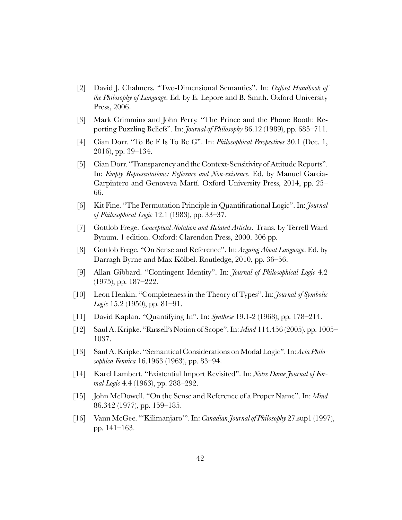- <span id="page-41-10"></span>[2] David J. Chalmers. "Two-Dimensional Semantics". In: *Oxford Handbook of the Philosophy of Language*. Ed. by E. Lepore and B. Smith. Oxford University Press, 2006.
- <span id="page-41-1"></span>[3] Mark Crimmins and John Perry. "The Prince and the Phone Booth: Reporting Puzzling Beliefs". In: *Journal of Philosophy* 86.12 (1989), pp. 685–711.
- <span id="page-41-7"></span>[4] Cian Dorr. "To Be F Is To Be G". In: *Philosophical Perspectives* 30.1 (Dec. 1, 2016), pp. 39–134.
- <span id="page-41-0"></span>[5] Cian Dorr. "Transparency and the Context-Sensitivity of Attitude Reports". In: *Empty Representations: Reference and Non-existence*. Ed. by Manuel García-Carpintero and Genoveva Martí. Oxford University Press, 2014, pp. 25– 66.
- <span id="page-41-13"></span>[6] Kit Fine. "The Permutation Principle in Quantificational Logic". In: *Journal of Philosophical Logic* 12.1 (1983), pp. 33–37.
- <span id="page-41-6"></span>[7] Gottlob Frege. *Conceptual Notation and Related Articles*. Trans. by Terrell Ward Bynum. 1 edition. Oxford: Clarendon Press, 2000. 306 pp.
- <span id="page-41-2"></span>[8] Gottlob Frege. "On Sense and Reference". In: *Arguing About Language*. Ed. by Darragh Byrne and Max Kölbel. Routledge, 2010, pp. 36–56.
- <span id="page-41-4"></span>[9] Allan Gibbard. "Contingent Identity". In: *Journal of Philosophical Logic* 4.2 (1975), pp. 187–222.
- <span id="page-41-14"></span>[10] Leon Henkin. "Completeness in the Theory of Types". In: *Journal of Symbolic Logic* 15.2 (1950), pp. 81–91.
- <span id="page-41-8"></span>[11] David Kaplan. "Quantifying In". In: *Synthese* 19.1-2 (1968), pp. 178–214.
- <span id="page-41-3"></span>[12] Saul A. Kripke. "Russell's Notion of Scope". In: *Mind* 114.456 (2005), pp. 1005– 1037.
- <span id="page-41-12"></span>[13] Saul A. Kripke. "Semantical Considerations on Modal Logic". In: *Acta Philosophica Fennica* 16.1963 (1963), pp. 83–94.
- <span id="page-41-11"></span>[14] Karel Lambert. "Existential Import Revisited". In: *Notre Dame Journal of Formal Logic* 4.4 (1963), pp. 288–292.
- <span id="page-41-9"></span>[15] John McDowell. "On the Sense and Reference of a Proper Name". In: *Mind* 86.342 (1977), pp. 159–185.
- <span id="page-41-5"></span>[16] Vann McGee. "'Kilimanjaro'". In: *Canadian Journal of Philosophy* 27.sup1 (1997), pp. 141–163.